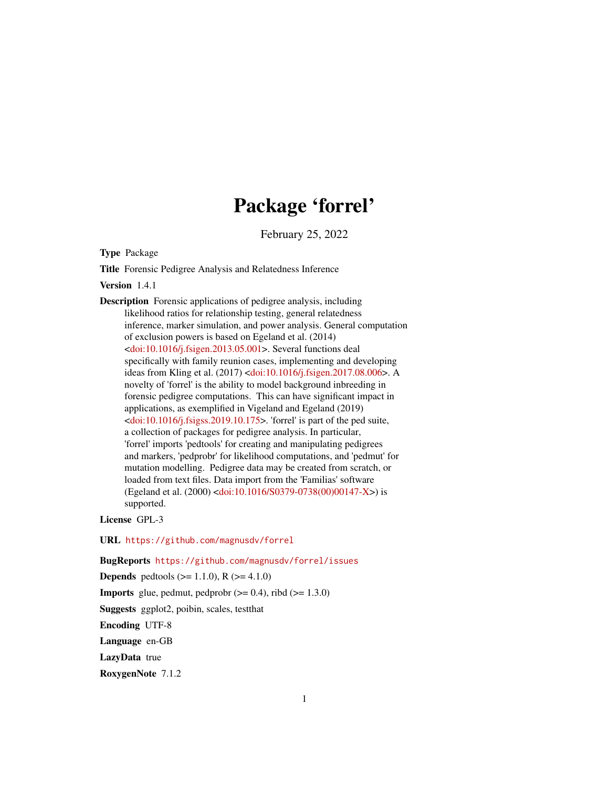# Package 'forrel'

February 25, 2022

<span id="page-0-0"></span>Type Package

Title Forensic Pedigree Analysis and Relatedness Inference

Version 1.4.1

Description Forensic applications of pedigree analysis, including likelihood ratios for relationship testing, general relatedness inference, marker simulation, and power analysis. General computation of exclusion powers is based on Egeland et al. (2014) [<doi:10.1016/j.fsigen.2013.05.001>](https://doi.org/10.1016/j.fsigen.2013.05.001). Several functions deal specifically with family reunion cases, implementing and developing ideas from Kling et al. (2017) [<doi:10.1016/j.fsigen.2017.08.006>](https://doi.org/10.1016/j.fsigen.2017.08.006). A novelty of 'forrel' is the ability to model background inbreeding in forensic pedigree computations. This can have significant impact in applications, as exemplified in Vigeland and Egeland (2019) [<doi:10.1016/j.fsigss.2019.10.175>](https://doi.org/10.1016/j.fsigss.2019.10.175). 'forrel' is part of the ped suite, a collection of packages for pedigree analysis. In particular, 'forrel' imports 'pedtools' for creating and manipulating pedigrees and markers, 'pedprobr' for likelihood computations, and 'pedmut' for mutation modelling. Pedigree data may be created from scratch, or loaded from text files. Data import from the 'Familias' software (Egeland et al. (2000) [<doi:10.1016/S0379-0738\(00\)00147-X>](https://doi.org/10.1016/S0379-0738(00)00147-X)) is supported.

License GPL-3

URL <https://github.com/magnusdv/forrel>

BugReports <https://github.com/magnusdv/forrel/issues>

**Depends** pedtools ( $>= 1.1.0$ ), R ( $>= 4.1.0$ )

**Imports** glue, pedmut, pedprobr  $(>= 0.4)$ , ribd  $(>= 1.3.0)$ 

Suggests ggplot2, poibin, scales, testthat

Encoding UTF-8

Language en-GB

LazyData true

RoxygenNote 7.1.2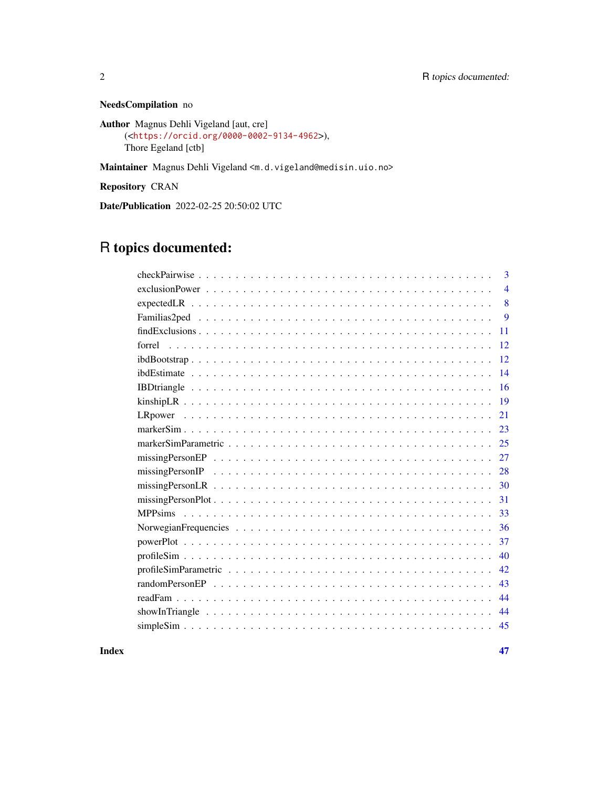NeedsCompilation no

```
Author Magnus Dehli Vigeland [aut, cre]
     (<https://orcid.org/0000-0002-9134-4962>),
     Thore Egeland [ctb]
```
Maintainer Magnus Dehli Vigeland <m.d.vigeland@medisin.uio.no>

Repository CRAN

Date/Publication 2022-02-25 20:50:02 UTC

# R topics documented:

| 3              |
|----------------|
| $\overline{4}$ |
| 8              |
| 9              |
| 11             |
| 12             |
| 12             |
| 14             |
| 16             |
| 19             |
| 21             |
| 23             |
| 25             |
| 27             |
| 28             |
| 30             |
| 31             |
| 33             |
| 36             |
| 37             |
| 40             |
| 42             |
| 43             |
| 44             |
| 44             |
| 45             |

**Index** [47](#page-46-0)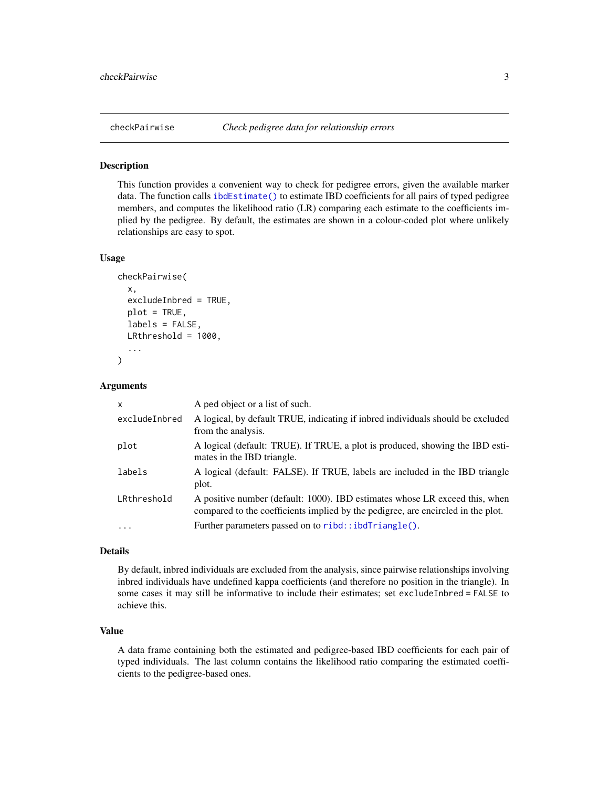<span id="page-2-0"></span>

#### Description

This function provides a convenient way to check for pedigree errors, given the available marker data. The function calls [ibdEstimate\(\)](#page-13-1) to estimate IBD coefficients for all pairs of typed pedigree members, and computes the likelihood ratio (LR) comparing each estimate to the coefficients implied by the pedigree. By default, the estimates are shown in a colour-coded plot where unlikely relationships are easy to spot.

#### Usage

```
checkPairwise(
  x,
  excludeInbred = TRUE,
 plot = TRUE,
  labels = FALSE,
 LRthreshold = 1000,
  ...
)
```
#### Arguments

| $\mathsf{x}$  | A ped object or a list of such.                                                                                                                                 |
|---------------|-----------------------------------------------------------------------------------------------------------------------------------------------------------------|
| excludeInbred | A logical, by default TRUE, indicating if inbred individuals should be excluded<br>from the analysis.                                                           |
| plot          | A logical (default: TRUE). If TRUE, a plot is produced, showing the IBD esti-<br>mates in the IBD triangle.                                                     |
| labels        | A logical (default: FALSE). If TRUE, labels are included in the IBD triangle<br>plot.                                                                           |
| LRthreshold   | A positive number (default: 1000). IBD estimates whose LR exceed this, when<br>compared to the coefficients implied by the pedigree, are encircled in the plot. |
| $\ddots$ .    | Further parameters passed on to ribd::ibdTriangle().                                                                                                            |

#### Details

By default, inbred individuals are excluded from the analysis, since pairwise relationships involving inbred individuals have undefined kappa coefficients (and therefore no position in the triangle). In some cases it may still be informative to include their estimates; set excludeInbred = FALSE to achieve this.

# Value

A data frame containing both the estimated and pedigree-based IBD coefficients for each pair of typed individuals. The last column contains the likelihood ratio comparing the estimated coefficients to the pedigree-based ones.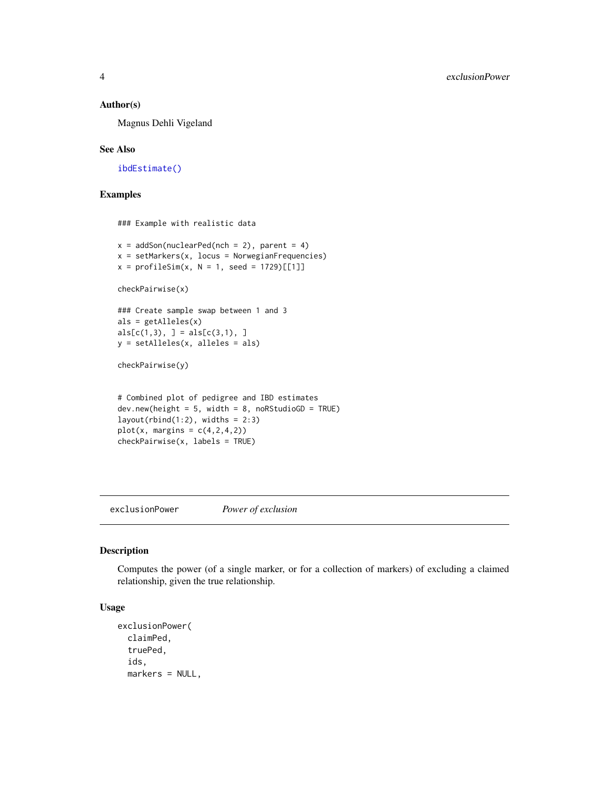#### <span id="page-3-0"></span>Author(s)

Magnus Dehli Vigeland

#### See Also

[ibdEstimate\(\)](#page-13-1)

# Examples

### Example with realistic data

```
x = addSon(nuclearPed(nch = 2), parent = 4)x = setMarkers(x, locus = NorwegianFrequency)x = profileSim(x, N = 1, seed = 1729)[[1]]
```

```
checkPairwise(x)
```

```
### Create sample swap between 1 and 3
als = getAlleles(x)
als[c(1,3), ] = als[c(3,1), ]y = setAlleles(x, alleles = als)
```

```
checkPairwise(y)
```

```
# Combined plot of pedigree and IBD estimates
dev.new(headet = 5, width = 8, noRStudioGD = TRUE)layout(rbind(1:2), widths = 2:3)plot(x, margins = c(4,2,4,2))checkPairwise(x, labels = TRUE)
```
<span id="page-3-1"></span>exclusionPower *Power of exclusion*

#### Description

Computes the power (of a single marker, or for a collection of markers) of excluding a claimed relationship, given the true relationship.

# Usage

```
exclusionPower(
  claimPed,
  truePed,
  ids,
  markers = NULL,
```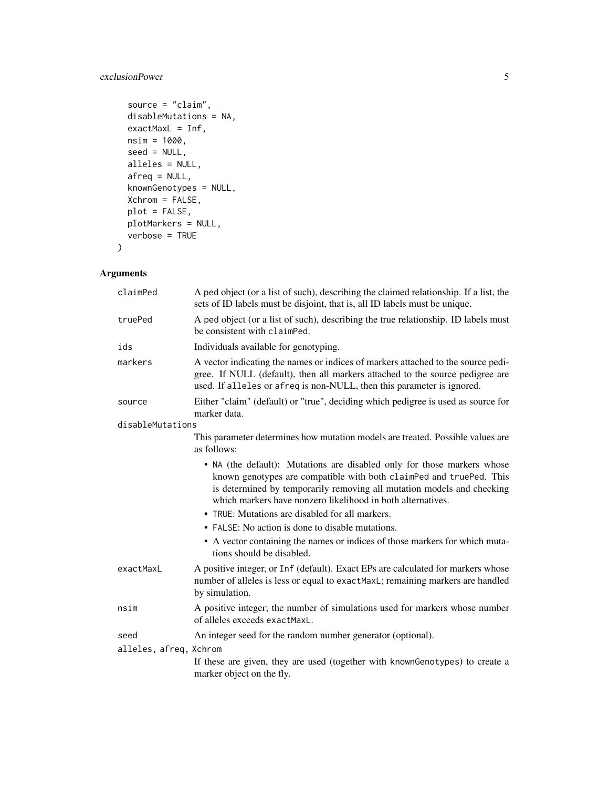# exclusionPower 5

```
source = "claim",
 disableMutations = NA,
 exactMaxL = Inf,nsim = 1000,
  seed = NULL,
 alleles = NULL,
 afreq = NULL,
 knownGenotypes = NULL,
 Xchrom = FALSE,
 plot = FALSE,
 plotMarkers = NULL,
 verbose = TRUE
\mathcal{L}
```
# Arguments

| claimPed               | A ped object (or a list of such), describing the claimed relationship. If a list, the<br>sets of ID labels must be disjoint, that is, all ID labels must be unique.                                                                                                                     |
|------------------------|-----------------------------------------------------------------------------------------------------------------------------------------------------------------------------------------------------------------------------------------------------------------------------------------|
| truePed                | A ped object (or a list of such), describing the true relationship. ID labels must<br>be consistent with claimPed.                                                                                                                                                                      |
| ids                    | Individuals available for genotyping.                                                                                                                                                                                                                                                   |
| markers                | A vector indicating the names or indices of markers attached to the source pedi-<br>gree. If NULL (default), then all markers attached to the source pedigree are<br>used. If alleles or afreq is non-NULL, then this parameter is ignored.                                             |
| source                 | Either "claim" (default) or "true", deciding which pedigree is used as source for<br>marker data.                                                                                                                                                                                       |
| disableMutations       |                                                                                                                                                                                                                                                                                         |
|                        | This parameter determines how mutation models are treated. Possible values are<br>as follows:                                                                                                                                                                                           |
|                        | • NA (the default): Mutations are disabled only for those markers whose<br>known genotypes are compatible with both claimPed and truePed. This<br>is determined by temporarily removing all mutation models and checking<br>which markers have nonzero likelihood in both alternatives. |
|                        | • TRUE: Mutations are disabled for all markers.                                                                                                                                                                                                                                         |
|                        | • FALSE: No action is done to disable mutations.                                                                                                                                                                                                                                        |
|                        | • A vector containing the names or indices of those markers for which muta-<br>tions should be disabled.                                                                                                                                                                                |
| exactMaxL              | A positive integer, or Inf (default). Exact EPs are calculated for markers whose<br>number of alleles is less or equal to exactMaxL; remaining markers are handled<br>by simulation.                                                                                                    |
| nsim                   | A positive integer; the number of simulations used for markers whose number<br>of alleles exceeds exactMaxL.                                                                                                                                                                            |
| seed                   | An integer seed for the random number generator (optional).                                                                                                                                                                                                                             |
| alleles, afreq, Xchrom |                                                                                                                                                                                                                                                                                         |
|                        | If these are given, they are used (together with knownGenotypes) to create a<br>marker object on the fly.                                                                                                                                                                               |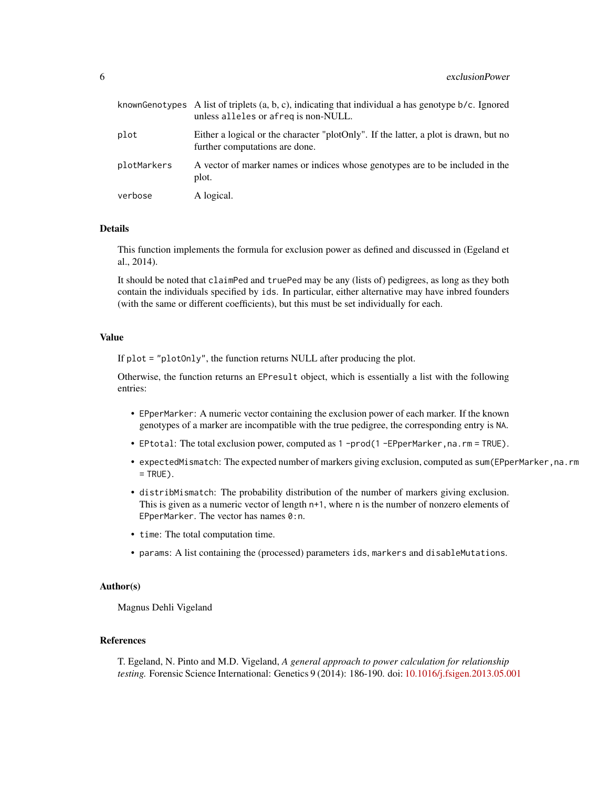|             | knownGenotypes A list of triplets $(a, b, c)$ , indicating that individual a has genotype $b/c$ . Ignored<br>unless alleles or afreg is non-NULL. |
|-------------|---------------------------------------------------------------------------------------------------------------------------------------------------|
| plot        | Either a logical or the character "plotOnly". If the latter, a plot is drawn, but no<br>further computations are done.                            |
| plotMarkers | A vector of marker names or indices whose genotypes are to be included in the<br>plot.                                                            |
| verbose     | A logical.                                                                                                                                        |

# Details

This function implements the formula for exclusion power as defined and discussed in (Egeland et al., 2014).

It should be noted that claimPed and truePed may be any (lists of) pedigrees, as long as they both contain the individuals specified by ids. In particular, either alternative may have inbred founders (with the same or different coefficients), but this must be set individually for each.

# Value

If plot = "plotOnly", the function returns NULL after producing the plot.

Otherwise, the function returns an EPresult object, which is essentially a list with the following entries:

- EPperMarker: A numeric vector containing the exclusion power of each marker. If the known genotypes of a marker are incompatible with the true pedigree, the corresponding entry is NA.
- EPtotal: The total exclusion power, computed as 1 -prod(1 -EPperMarker, na.rm = TRUE).
- expectedMismatch: The expected number of markers giving exclusion, computed as sum(EPperMarker, na.rm  $=$  TRUE).
- distribMismatch: The probability distribution of the number of markers giving exclusion. This is given as a numeric vector of length n+1, where n is the number of nonzero elements of EPperMarker. The vector has names 0:n.
- time: The total computation time.
- params: A list containing the (processed) parameters ids, markers and disableMutations.

# Author(s)

Magnus Dehli Vigeland

#### References

T. Egeland, N. Pinto and M.D. Vigeland, *A general approach to power calculation for relationship testing.* Forensic Science International: Genetics 9 (2014): 186-190. doi: [10.1016/j.fsigen.2013.05.001](https://doi.org/10.1016/j.fsigen.2013.05.001)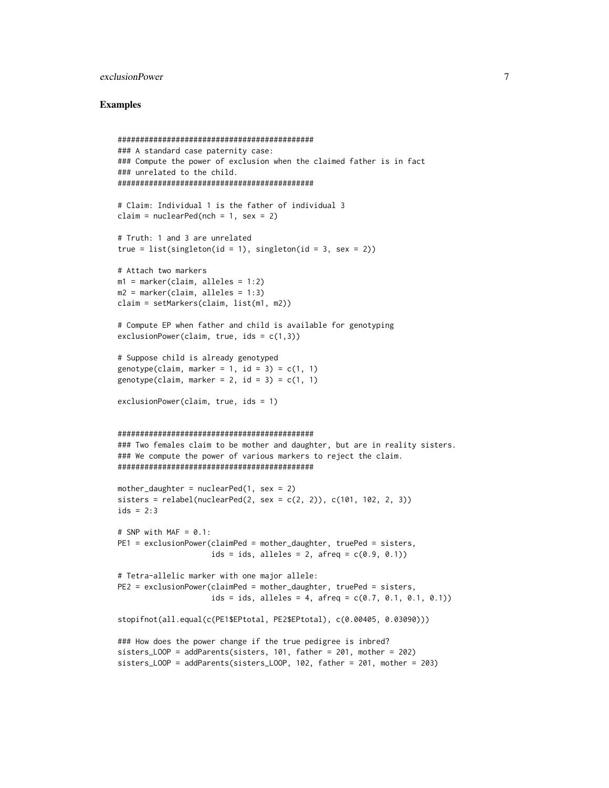# exclusionPower 7

```
############################################
### A standard case paternity case:
### Compute the power of exclusion when the claimed father is in fact
### unrelated to the child.
############################################
# Claim: Individual 1 is the father of individual 3
claim = nuclearPed(nch = 1, sex = 2)
# Truth: 1 and 3 are unrelated
true = list(singleton(id = 1), singleton(id = 3, sex = 2))
# Attach two markers
m1 = marker(claim, alleles = 1:2)
m2 = marker(claim, alleles = 1:3)claim = setMarkers(claim, list(m1, m2))
# Compute EP when father and child is available for genotyping
exclusionPower(claim, true, ids = c(1,3))
# Suppose child is already genotyped
genotype(claim, marker = 1, id = 3) = c(1, 1)genotype(claim, marker = 2, id = 3) = c(1, 1)exclusionPower(claim, true, ids = 1)
############################################
### Two females claim to be mother and daughter, but are in reality sisters.
### We compute the power of various markers to reject the claim.
############################################
mother_daughter = nuclearPed(1, sex = 2)sisters = relabel(nuclearPed(2, sex = c(2, 2)), c(101, 102, 2, 3))ids = 2:3# SNP with MAF = 0.1:
PE1 = exclusionPower(claimPed = mother_daughter, truePed = sisters,
                     ids = ids, alleles = 2, afreq = c(0.9, 0.1))
# Tetra-allelic marker with one major allele:
PE2 = exclusionPower(claimPed = mother_daughter, truePed = sisters,
                     ids = ids, alleles = 4, afreq = c(0.7, 0.1, 0.1, 0.1))
stopifnot(all.equal(c(PE1$EPtotal, PE2$EPtotal), c(0.00405, 0.03090)))
### How does the power change if the true pedigree is inbred?
sisters_LOOP = addParents(sisters, 101, father = 201, mother = 202)
sisters_LOOP = addParents(sisters_LOOP, 102, father = 201, mother = 203)
```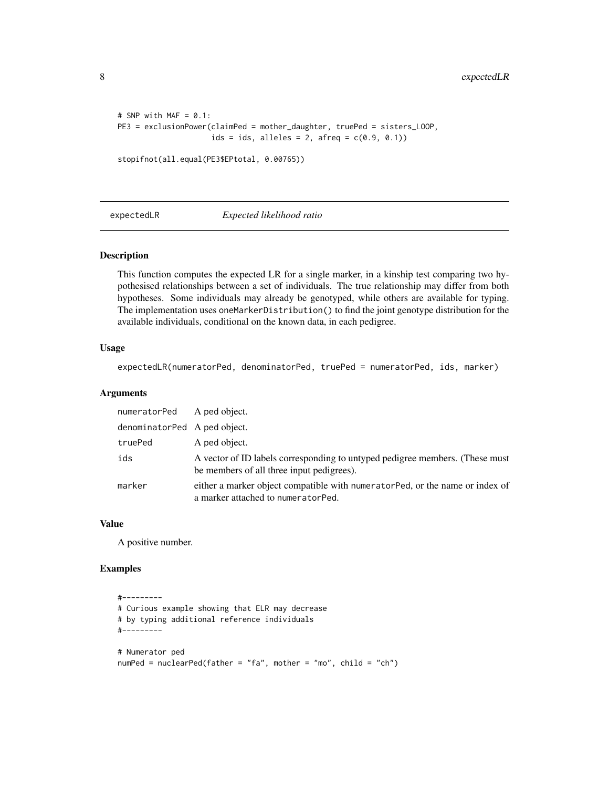```
# SNP with MAF = 0.1:
PE3 = exclusionPower(claimPed = mother_daughter, truePed = sisters_LOOP,
                     ids = ids, alleles = 2, afreq = c(0.9, 0.1))
```

```
stopifnot(all.equal(PE3$EPtotal, 0.00765))
```
expectedLR *Expected likelihood ratio*

#### Description

This function computes the expected LR for a single marker, in a kinship test comparing two hypothesised relationships between a set of individuals. The true relationship may differ from both hypotheses. Some individuals may already be genotyped, while others are available for typing. The implementation uses oneMarkerDistribution() to find the joint genotype distribution for the available individuals, conditional on the known data, in each pedigree.

#### Usage

expectedLR(numeratorPed, denominatorPed, truePed = numeratorPed, ids, marker)

# Arguments

| numeratorPed A ped object.   |                                                                                                                           |
|------------------------------|---------------------------------------------------------------------------------------------------------------------------|
| denominatorPed A ped object. |                                                                                                                           |
| truePed                      | A ped object.                                                                                                             |
| ids                          | A vector of ID labels corresponding to untyped pedigree members. (These must<br>be members of all three input pedigrees). |
| marker                       | either a marker object compatible with numerator Ped, or the name or index of<br>a marker attached to numeratorPed.       |

#### Value

A positive number.

```
#---------
# Curious example showing that ELR may decrease
# by typing additional reference individuals
#---------
# Numerator ped
numPed = nuclearPed(father = "fa", mother = "mo", child = "ch")
```
<span id="page-7-0"></span>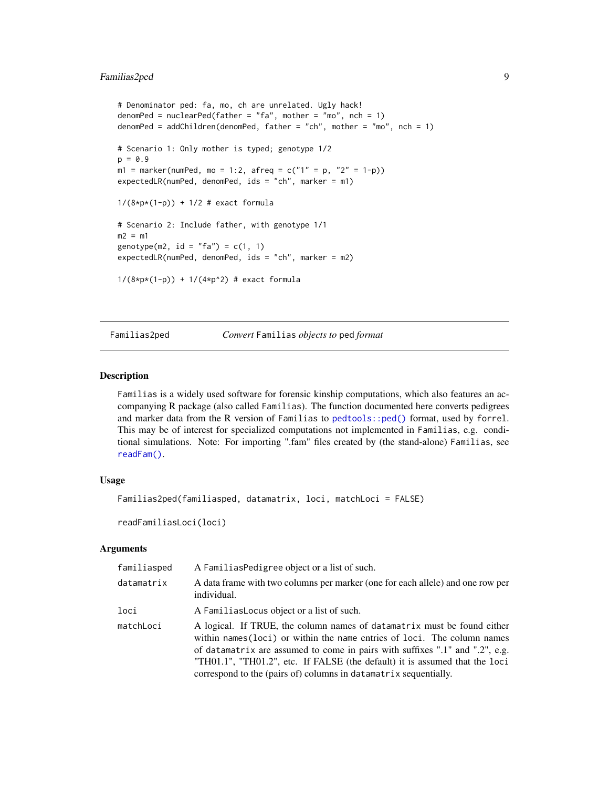# <span id="page-8-0"></span>Familias2ped 9

```
# Denominator ped: fa, mo, ch are unrelated. Ugly hack!
denomPed = nuclearPed(father = "fa", mother = "mo", nch = 1)denomPed = addChildren(denomPed, father = "ch", mother = "mo", nch = 1)
# Scenario 1: Only mother is typed; genotype 1/2
p = 0.9ml = marker(numPed, mo = 1:2, afreq = c("1" = p, "2" = 1-p))expectedLR(numPed, denomPed, ids = "ch", marker = m1)
1/(8*p*(1-p)) + 1/2 # exact formula
# Scenario 2: Include father, with genotype 1/1
m2 = m1genotype(m2, id = "fa") = c(1, 1)expectedLR(numPed, denomPed, ids = "ch", marker = m2)
1/(8*p*(1-p)) + 1/(4*p*2) # exact formula
```
Familias2ped *Convert* Familias *objects to* ped *format*

#### Description

Familias is a widely used software for forensic kinship computations, which also features an accompanying R package (also called Familias). The function documented here converts pedigrees and marker data from the R version of Familias to [pedtools::ped\(\)](#page-0-0) format, used by forrel. This may be of interest for specialized computations not implemented in Familias, e.g. conditional simulations. Note: For importing ".fam" files created by (the stand-alone) Familias, see [readFam\(\)](#page-43-1).

# Usage

```
Familias2ped(familiasped, datamatrix, loci, matchLoci = FALSE)
```
readFamiliasLoci(loci)

#### Arguments

| familiasped | A FamiliasPedigree object or a list of such.                                                                                                                                                                                                                                                                                                                                           |
|-------------|----------------------------------------------------------------------------------------------------------------------------------------------------------------------------------------------------------------------------------------------------------------------------------------------------------------------------------------------------------------------------------------|
| datamatrix  | A data frame with two columns per marker (one for each allele) and one row per<br>individual.                                                                                                                                                                                                                                                                                          |
| loci        | A Familias Locus object or a list of such.                                                                                                                                                                                                                                                                                                                                             |
| matchLoci   | A logical. If TRUE, the column names of datamatrix must be found either<br>within names (loci) or within the name entries of loci. The column names<br>of datamatrix are assumed to come in pairs with suffixes ".1" and ".2", e.g.<br>"TH01.1", "TH01.2", etc. If FALSE (the default) it is assumed that the loci<br>correspond to the (pairs of) columns in datamatrix sequentially. |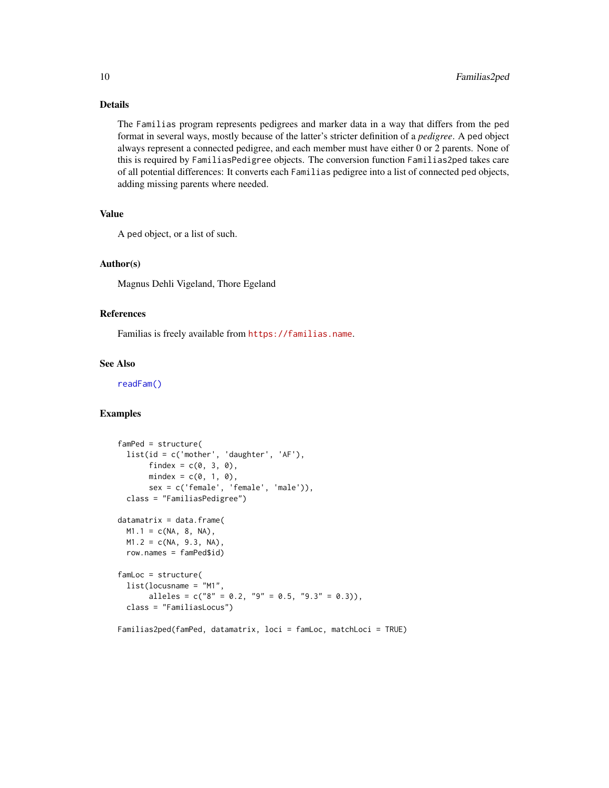# <span id="page-9-0"></span>Details

The Familias program represents pedigrees and marker data in a way that differs from the ped format in several ways, mostly because of the latter's stricter definition of a *pedigree*. A ped object always represent a connected pedigree, and each member must have either 0 or 2 parents. None of this is required by FamiliasPedigree objects. The conversion function Familias2ped takes care of all potential differences: It converts each Familias pedigree into a list of connected ped objects, adding missing parents where needed.

# Value

A ped object, or a list of such.

# Author(s)

Magnus Dehli Vigeland, Thore Egeland

#### References

Familias is freely available from <https://familias.name>.

# See Also

[readFam\(\)](#page-43-1)

# Examples

```
famPed = structure(
  list(id = c('mother', 'daughter', 'AF'),
       findex = c(\emptyset, 3, \emptyset),
       mindex = c(\emptyset, 1, \emptyset),
       sex = c('female', 'female', 'male')),
  class = "FamiliasPedigree")
datamatrix = data.frame(M1.1 = c(NA, 8, NA),M1.2 = c(NA, 9.3, NA),
  row.names = famPed$id)
famLoc = structure(
  list(locusname = "M1",
       alleles = c("8" = 0.2, "9" = 0.5, "9.3" = 0.3)),class = "FamiliasLocus")
```
Familias2ped(famPed, datamatrix, loci = famLoc, matchLoci = TRUE)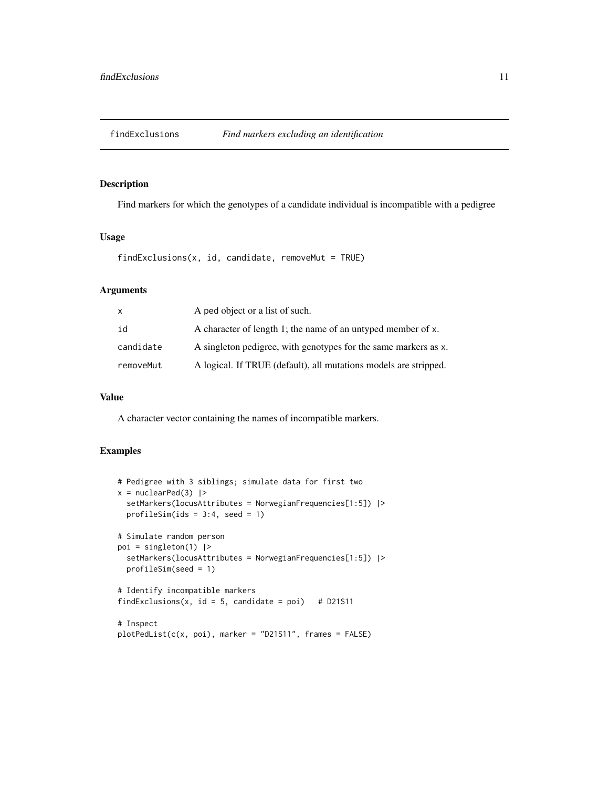<span id="page-10-0"></span>

#### Description

Find markers for which the genotypes of a candidate individual is incompatible with a pedigree

# Usage

```
findExclusions(x, id, candidate, removeMut = TRUE)
```
# Arguments

| $\mathsf{x}$ | A ped object or a list of such.                                  |
|--------------|------------------------------------------------------------------|
| id           | A character of length 1; the name of an untyped member of x.     |
| candidate    | A singleton pedigree, with genotypes for the same markers as x.  |
| removeMut    | A logical. If TRUE (default), all mutations models are stripped. |

# Value

A character vector containing the names of incompatible markers.

```
# Pedigree with 3 siblings; simulate data for first two
x = nuclearPed(3) |>
  setMarkers(locusAttributes = NorwegianFrequencies[1:5]) |>
  profileSimids = 3:4, seed = 1)
# Simulate random person
poi = singleton(1) |>
  setMarkers(locusAttributes = NorwegianFrequencies[1:5]) |>
  profileSim(seed = 1)
# Identify incompatible markers
findExclusions(x, id = 5, candidate = poi) # D21S11
# Inspect
plotPedList(c(x, poi), marker = "D21S11", frames = FALSE)
```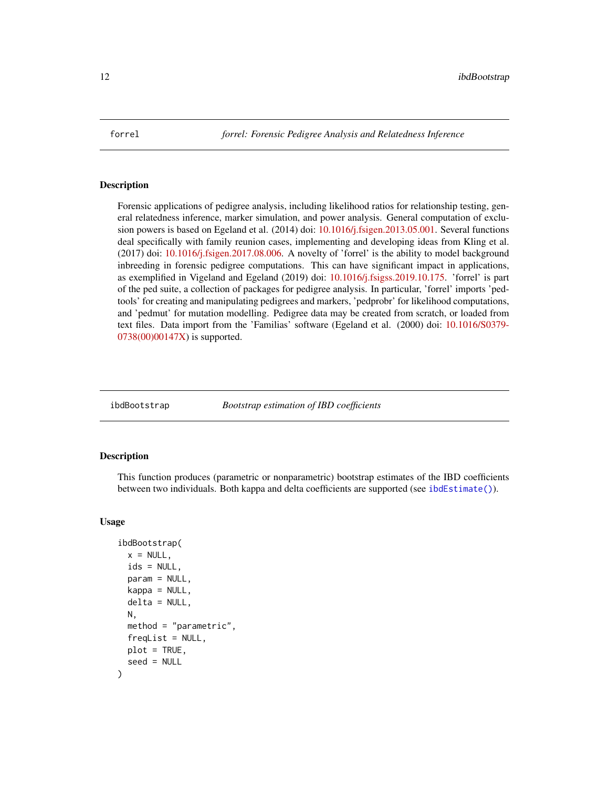<span id="page-11-0"></span>

#### Description

Forensic applications of pedigree analysis, including likelihood ratios for relationship testing, general relatedness inference, marker simulation, and power analysis. General computation of exclusion powers is based on Egeland et al. (2014) doi: [10.1016/j.fsigen.2013.05.001.](https://doi.org/10.1016/j.fsigen.2013.05.001) Several functions deal specifically with family reunion cases, implementing and developing ideas from Kling et al. (2017) doi: [10.1016/j.fsigen.2017.08.006.](https://doi.org/10.1016/j.fsigen.2017.08.006) A novelty of 'forrel' is the ability to model background inbreeding in forensic pedigree computations. This can have significant impact in applications, as exemplified in Vigeland and Egeland (2019) doi: [10.1016/j.fsigss.2019.10.175.](https://doi.org/10.1016/j.fsigss.2019.10.175) 'forrel' is part of the ped suite, a collection of packages for pedigree analysis. In particular, 'forrel' imports 'pedtools' for creating and manipulating pedigrees and markers, 'pedprobr' for likelihood computations, and 'pedmut' for mutation modelling. Pedigree data may be created from scratch, or loaded from text files. Data import from the 'Familias' software (Egeland et al. (2000) doi: [10.1016/S0379-](https://doi.org/10.1016/S0379-0738(00)00147-X) [0738\(00\)00147X\)](https://doi.org/10.1016/S0379-0738(00)00147-X) is supported.

<span id="page-11-1"></span>ibdBootstrap *Bootstrap estimation of IBD coefficients*

#### Description

This function produces (parametric or nonparametric) bootstrap estimates of the IBD coefficients between two individuals. Both kappa and delta coefficients are supported (see [ibdEstimate\(\)](#page-13-1)).

#### Usage

```
ibdBootstrap(
  x = NULL,ids = NULL,
  param = NULL,
  kappa = NULL,delta = NULL,
 N,
 method = "parametric",
  freqList = NULL,
 plot = TRUE,
  seed = NULL
)
```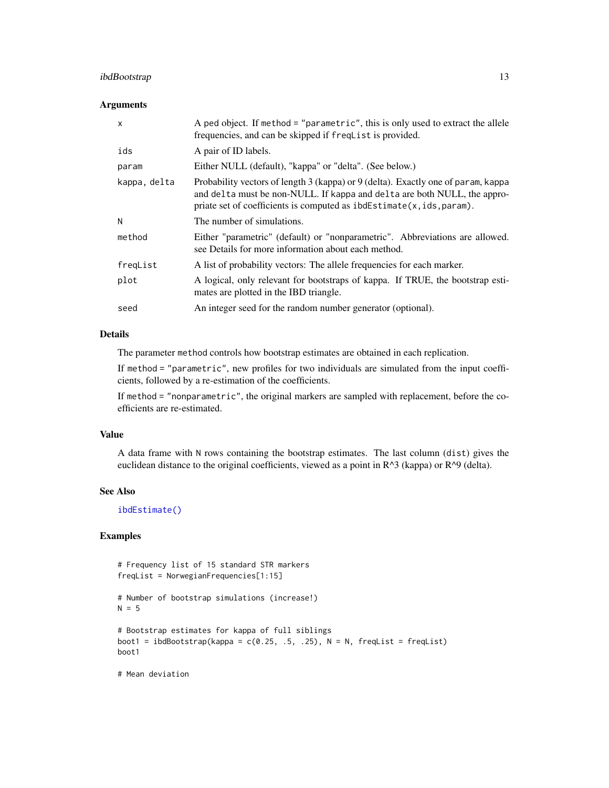# <span id="page-12-0"></span>ibdBootstrap 13

# Arguments

| $\mathsf{x}$ | A ped object. If method = "parametric", this is only used to extract the allele<br>frequencies, and can be skipped if freqlist is provided.                                                                                             |
|--------------|-----------------------------------------------------------------------------------------------------------------------------------------------------------------------------------------------------------------------------------------|
| ids          | A pair of ID labels.                                                                                                                                                                                                                    |
| param        | Either NULL (default), "kappa" or "delta". (See below.)                                                                                                                                                                                 |
| kappa, delta | Probability vectors of length 3 (kappa) or 9 (delta). Exactly one of param, kappa<br>and delta must be non-NULL. If kappa and delta are both NULL, the appro-<br>priate set of coefficients is computed as $ibdEstimate(x,ids,param)$ . |
| N            | The number of simulations.                                                                                                                                                                                                              |
| method       | Either "parametric" (default) or "nonparametric". Abbreviations are allowed.<br>see Details for more information about each method.                                                                                                     |
| freqList     | A list of probability vectors: The allele frequencies for each marker.                                                                                                                                                                  |
| plot         | A logical, only relevant for bootstraps of kappa. If TRUE, the bootstrap esti-<br>mates are plotted in the IBD triangle.                                                                                                                |
| seed         | An integer seed for the random number generator (optional).                                                                                                                                                                             |

# Details

The parameter method controls how bootstrap estimates are obtained in each replication.

If method = "parametric", new profiles for two individuals are simulated from the input coefficients, followed by a re-estimation of the coefficients.

If method = "nonparametric", the original markers are sampled with replacement, before the coefficients are re-estimated.

# Value

A data frame with N rows containing the bootstrap estimates. The last column (dist) gives the euclidean distance to the original coefficients, viewed as a point in  $R^{\wedge}3$  (kappa) or  $R^{\wedge}9$  (delta).

#### See Also

[ibdEstimate\(\)](#page-13-1)

# Examples

```
# Frequency list of 15 standard STR markers
freqList = NorwegianFrequencies[1:15]
# Number of bootstrap simulations (increase!)
N = 5# Bootstrap estimates for kappa of full siblings
boot1 = ibdBootstrap(kappa = c(0.25, .5, .25), N = N, freqList = freqList)
boot1
```
# Mean deviation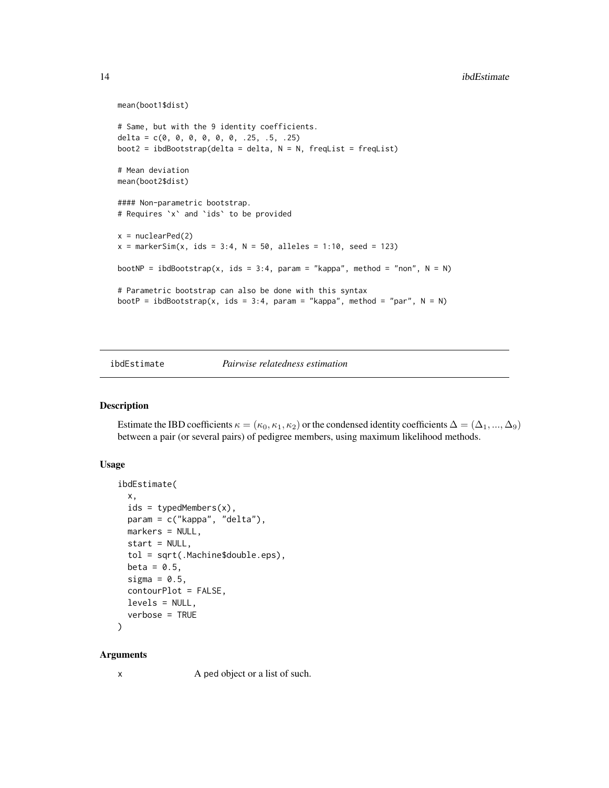```
mean(boot1$dist)
# Same, but with the 9 identity coefficients.
delta = c(\emptyset, \emptyset, \emptyset, \emptyset, \emptyset, \emptyset, .25, .5, .25)boot2 = ibdBoostrap(delta = delta, N = N, freqList = freqList)# Mean deviation
mean(boot2$dist)
#### Non-parametric bootstrap.
# Requires `x` and `ids` to be provided
x = nuclearPed(2)x = markerSim(x, ids = 3:4, N = 50, alleles = 1:10, seed = 123)
bootNP = ibdBootstrap(x, ids = 3:4, param = "kappa", method = "non", N = N)
# Parametric bootstrap can also be done with this syntax
bootP = ibdBootstrap(x, ids = 3:4, param = "kappa", method = "par", N = N)
```
<span id="page-13-1"></span>ibdEstimate *Pairwise relatedness estimation*

# Description

Estimate the IBD coefficients  $\kappa = (\kappa_0, \kappa_1, \kappa_2)$  or the condensed identity coefficients  $\Delta = (\Delta_1, ..., \Delta_9)$ between a pair (or several pairs) of pedigree members, using maximum likelihood methods.

#### Usage

```
ibdEstimate(
  x,
  ids = typedMembers(x),
 param = c("kappa", "delta"),
 markers = NULL,
  start = NULL,
  tol = sqrt(.Machine$double.eps),
 beta = 0.5,
  sigma = 0.5,
  contourPlot = FALSE,
 levels = NULL,
 verbose = TRUE
```
#### )

#### **Arguments**

x A ped object or a list of such.

<span id="page-13-0"></span>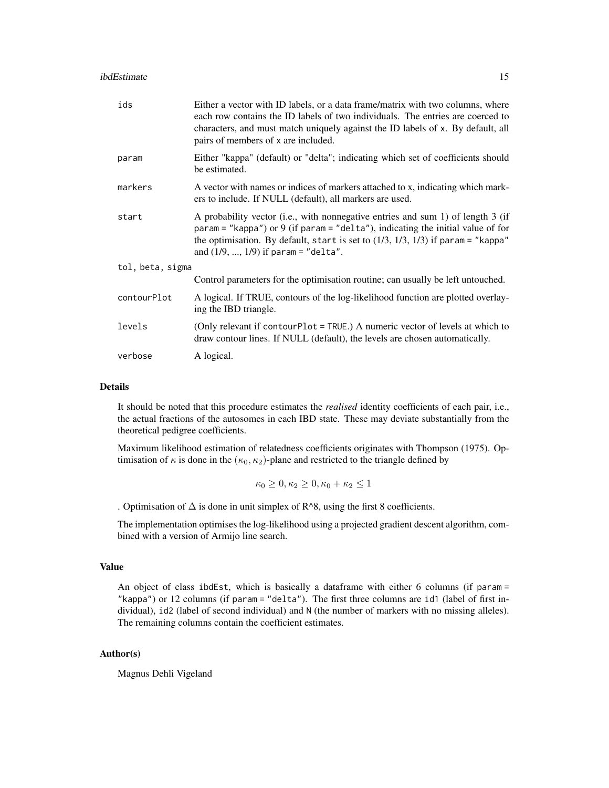| ids              | Either a vector with ID labels, or a data frame/matrix with two columns, where<br>each row contains the ID labels of two individuals. The entries are coerced to<br>characters, and must match uniquely against the ID labels of x. By default, all<br>pairs of members of x are included.         |  |
|------------------|----------------------------------------------------------------------------------------------------------------------------------------------------------------------------------------------------------------------------------------------------------------------------------------------------|--|
| param            | Either "kappa" (default) or "delta"; indicating which set of coefficients should<br>be estimated.                                                                                                                                                                                                  |  |
| markers          | A vector with names or indices of markers attached to x, indicating which mark-<br>ers to include. If NULL (default), all markers are used.                                                                                                                                                        |  |
| start            | A probability vector (i.e., with nonnegative entries and sum 1) of length 3 (if<br>param = "kappa") or 9 (if param = "delta"), indicating the initial value of for<br>the optimisation. By default, start is set to $(1/3, 1/3, 1/3)$ if param = "kappa"<br>and $(1/9, , 1/9)$ if param = "delta". |  |
| tol, beta, sigma |                                                                                                                                                                                                                                                                                                    |  |
|                  | Control parameters for the optimisation routine; can usually be left untouched.                                                                                                                                                                                                                    |  |
| contourPlot      | A logical. If TRUE, contours of the log-likelihood function are plotted overlay-<br>ing the IBD triangle.                                                                                                                                                                                          |  |
| levels           | (Only relevant if contourPlot = TRUE.) A numeric vector of levels at which to<br>draw contour lines. If NULL (default), the levels are chosen automatically.                                                                                                                                       |  |
| verbose          | A logical.                                                                                                                                                                                                                                                                                         |  |

#### Details

It should be noted that this procedure estimates the *realised* identity coefficients of each pair, i.e., the actual fractions of the autosomes in each IBD state. These may deviate substantially from the theoretical pedigree coefficients.

Maximum likelihood estimation of relatedness coefficients originates with Thompson (1975). Optimisation of  $\kappa$  is done in the  $(\kappa_0, \kappa_2)$ -plane and restricted to the triangle defined by

$$
\kappa_0\geq 0, \kappa_2\geq 0, \kappa_0+\kappa_2\leq 1
$$

. Optimisation of  $\Delta$  is done in unit simplex of R^8, using the first 8 coefficients.

The implementation optimises the log-likelihood using a projected gradient descent algorithm, combined with a version of Armijo line search.

#### Value

An object of class ibdEst, which is basically a dataframe with either 6 columns (if param = "kappa") or 12 columns (if param = "delta"). The first three columns are id1 (label of first individual), id2 (label of second individual) and N (the number of markers with no missing alleles). The remaining columns contain the coefficient estimates.

#### Author(s)

Magnus Dehli Vigeland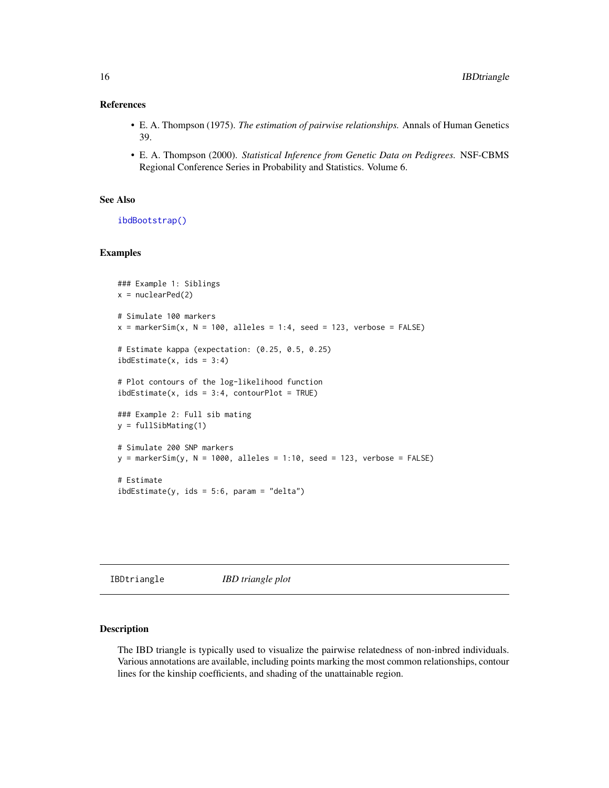# <span id="page-15-0"></span>References

- E. A. Thompson (1975). *The estimation of pairwise relationships.* Annals of Human Genetics 39.
- E. A. Thompson (2000). *Statistical Inference from Genetic Data on Pedigrees.* NSF-CBMS Regional Conference Series in Probability and Statistics. Volume 6.

#### See Also

[ibdBootstrap\(\)](#page-11-1)

# Examples

```
### Example 1: Siblings
x = nuclearPed(2)# Simulate 100 markers
x = markerSim(x, N = 100, alleles = 1:4, seed = 123, verbose = FALSE)
# Estimate kappa (expectation: (0.25, 0.5, 0.25)
ibdEstimate(x, is = 3:4)# Plot contours of the log-likelihood function
ibdEstimate(x, is = 3:4, contourPlot = TRUE)### Example 2: Full sib mating
y = fullSibMating(1)
# Simulate 200 SNP markers
y = markerSim(y, N = 1000, alleles = 1:10, seed = 123, verbose = FALSE)
# Estimate
ibdEstimate(y, ids = 5:6, param = "delta")
```
IBDtriangle *IBD triangle plot*

# Description

The IBD triangle is typically used to visualize the pairwise relatedness of non-inbred individuals. Various annotations are available, including points marking the most common relationships, contour lines for the kinship coefficients, and shading of the unattainable region.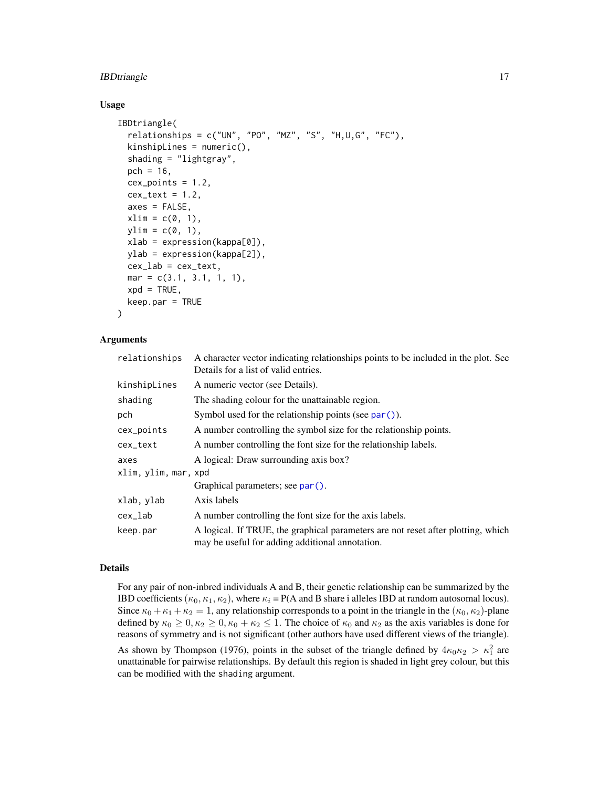# <span id="page-16-0"></span>**IBDtriangle** 17

#### Usage

```
IBDtriangle(
  relationships = c("UN", "PO", "MZ", "S", "H,U,G", "FC"),
  kinshipLines = numeric(),
  shading = "lightgray",
 pch = 16,
  cex\_points = 1.2,cex\_text = 1.2,axes = FALSE,xlim = c(0, 1),ylim = c(0, 1),xlab = expression(kappa[0]),ylab = expression(kappa[2]),
  cex\_lab = cex\_text,mar = c(3.1, 3.1, 1, 1),xpd = TRUE,keep.par = TRUE
\lambda
```
# Arguments

| relationships        | A character vector indicating relationships points to be included in the plot. See<br>Details for a list of valid entries.          |
|----------------------|-------------------------------------------------------------------------------------------------------------------------------------|
| kinshipLines         | A numeric vector (see Details).                                                                                                     |
| shading              | The shading colour for the unattainable region.                                                                                     |
| pch                  | Symbol used for the relationship points (see $par()$ ).                                                                             |
| cex_points           | A number controlling the symbol size for the relationship points.                                                                   |
| cex_text             | A number controlling the font size for the relationship labels.                                                                     |
| axes                 | A logical: Draw surrounding axis box?                                                                                               |
| xlim, ylim, mar, xpd |                                                                                                                                     |
|                      | Graphical parameters; see par().                                                                                                    |
| xlab, ylab           | Axis labels                                                                                                                         |
| cex_lab              | A number controlling the font size for the axis labels.                                                                             |
| keep.par             | A logical. If TRUE, the graphical parameters are not reset after plotting, which<br>may be useful for adding additional annotation. |

# Details

For any pair of non-inbred individuals A and B, their genetic relationship can be summarized by the IBD coefficients ( $\kappa_0, \kappa_1, \kappa_2$ ), where  $\kappa_i = P(A \text{ and } B \text{ share } i \text{ alleles IBD at random autosomal locus}).$ Since  $\kappa_0 + \kappa_1 + \kappa_2 = 1$ , any relationship corresponds to a point in the triangle in the  $(\kappa_0, \kappa_2)$ -plane defined by  $\kappa_0 \geq 0, \kappa_2 \geq 0, \kappa_0 + \kappa_2 \leq 1$ . The choice of  $\kappa_0$  and  $\kappa_2$  as the axis variables is done for reasons of symmetry and is not significant (other authors have used different views of the triangle). As shown by Thompson (1976), points in the subset of the triangle defined by  $4\kappa_0\kappa_2 > \kappa_1^2$  are unattainable for pairwise relationships. By default this region is shaded in light grey colour, but this

can be modified with the shading argument.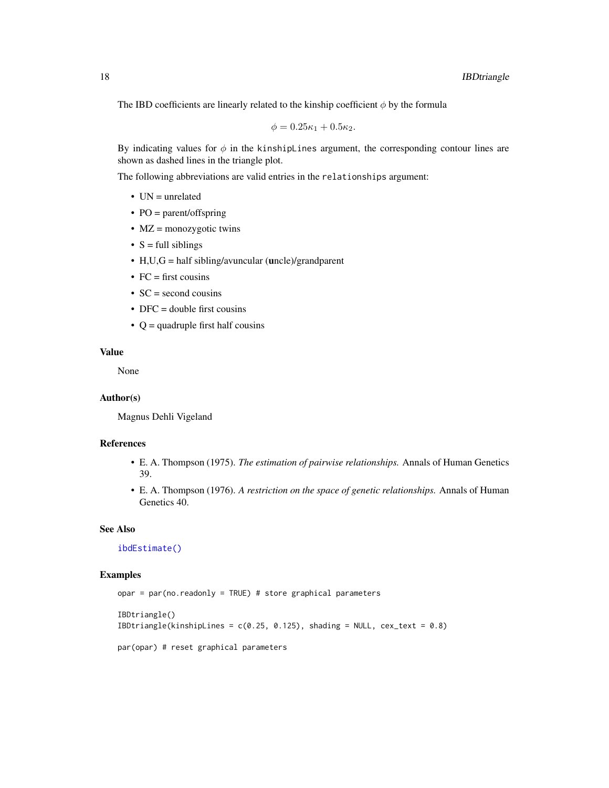<span id="page-17-0"></span>The IBD coefficients are linearly related to the kinship coefficient  $\phi$  by the formula

$$
\phi = 0.25\kappa_1 + 0.5\kappa_2.
$$

By indicating values for  $\phi$  in the kinshipLines argument, the corresponding contour lines are shown as dashed lines in the triangle plot.

The following abbreviations are valid entries in the relationships argument:

- UN = unrelated
- PO = parent/offspring
- MZ = monozygotic twins
- $S = full siblings$
- H,U,G = half sibling/avuncular (uncle)/grandparent
- $FC = first \text{ cousins}$
- $SC = second \text{ cousins}$
- DFC = double first cousins
- $Q =$  quadruple first half cousins

#### Value

None

#### Author(s)

Magnus Dehli Vigeland

# References

- E. A. Thompson (1975). *The estimation of pairwise relationships.* Annals of Human Genetics 39.
- E. A. Thompson (1976). *A restriction on the space of genetic relationships.* Annals of Human Genetics 40.

#### See Also

[ibdEstimate\(\)](#page-13-1)

```
opar = par(no.readonly = TRUE) # store graphical parameters
IBDtriangle()
IBDtriangle(kinshipLines = c(0.25, 0.125), shading = NULL, cex\_text = 0.8)par(opar) # reset graphical parameters
```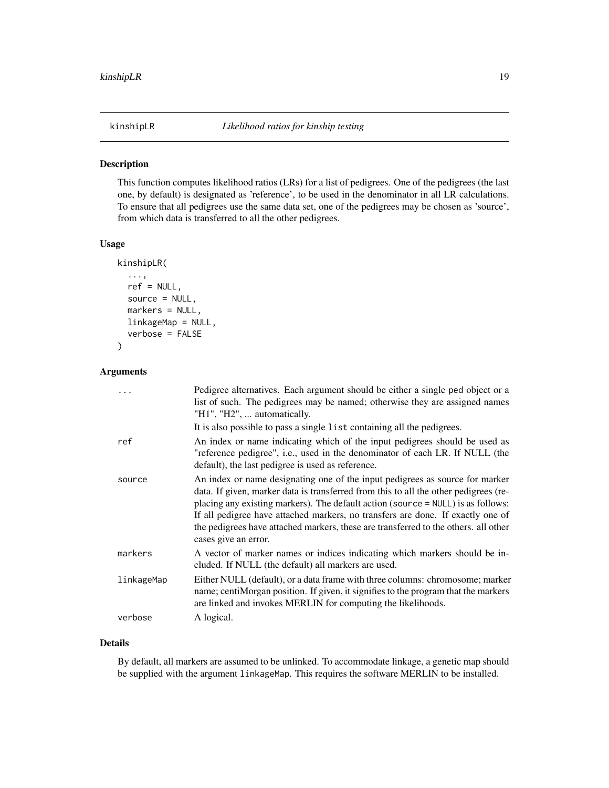<span id="page-18-1"></span><span id="page-18-0"></span>

#### Description

This function computes likelihood ratios (LRs) for a list of pedigrees. One of the pedigrees (the last one, by default) is designated as 'reference', to be used in the denominator in all LR calculations. To ensure that all pedigrees use the same data set, one of the pedigrees may be chosen as 'source', from which data is transferred to all the other pedigrees.

#### Usage

```
kinshipLR(
  ...,
  ref = NULL,source = NULL,
  markers = NULL,
  linkageMap = NULL,
  verbose = FALSE
)
```
# Arguments

|            | Pedigree alternatives. Each argument should be either a single ped object or a<br>list of such. The pedigrees may be named; otherwise they are assigned names<br>"H1", "H2",  automatically.                                                                                                                                                                                                                                                               |
|------------|------------------------------------------------------------------------------------------------------------------------------------------------------------------------------------------------------------------------------------------------------------------------------------------------------------------------------------------------------------------------------------------------------------------------------------------------------------|
|            | It is also possible to pass a single list containing all the pedigrees.                                                                                                                                                                                                                                                                                                                                                                                    |
| ref        | An index or name indicating which of the input pedigrees should be used as<br>"reference pedigree", i.e., used in the denominator of each LR. If NULL (the<br>default), the last pedigree is used as reference.                                                                                                                                                                                                                                            |
| source     | An index or name designating one of the input pedigrees as source for marker<br>data. If given, marker data is transferred from this to all the other pedigrees (re-<br>placing any existing markers). The default action (source = NULL) is as follows:<br>If all pedigree have attached markers, no transfers are done. If exactly one of<br>the pedigrees have attached markers, these are transferred to the others. all other<br>cases give an error. |
| markers    | A vector of marker names or indices indicating which markers should be in-<br>cluded. If NULL (the default) all markers are used.                                                                                                                                                                                                                                                                                                                          |
| linkageMap | Either NULL (default), or a data frame with three columns: chromosome; marker<br>name; centiMorgan position. If given, it signifies to the program that the markers<br>are linked and invokes MERLIN for computing the likelihoods.                                                                                                                                                                                                                        |
| verbose    | A logical.                                                                                                                                                                                                                                                                                                                                                                                                                                                 |

#### Details

By default, all markers are assumed to be unlinked. To accommodate linkage, a genetic map should be supplied with the argument linkageMap. This requires the software MERLIN to be installed.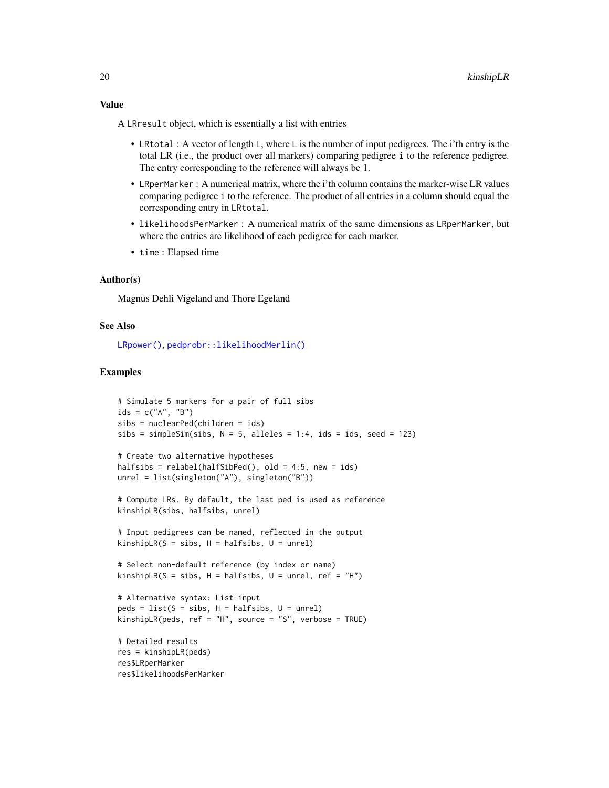<span id="page-19-0"></span>Value

A LRresult object, which is essentially a list with entries

- LRtotal : A vector of length L, where L is the number of input pedigrees. The i'th entry is the total LR (i.e., the product over all markers) comparing pedigree i to the reference pedigree. The entry corresponding to the reference will always be 1.
- LRperMarker : A numerical matrix, where the i'th column contains the marker-wise LR values comparing pedigree i to the reference. The product of all entries in a column should equal the corresponding entry in LRtotal.
- likelihoodsPerMarker : A numerical matrix of the same dimensions as LRperMarker, but where the entries are likelihood of each pedigree for each marker.
- time : Elapsed time

#### Author(s)

Magnus Dehli Vigeland and Thore Egeland

#### See Also

[LRpower\(\)](#page-20-1), [pedprobr::likelihoodMerlin\(\)](#page-0-0)

#### Examples

```
# Simulate 5 markers for a pair of full sibs
ids = c("A", "B")sibs = nuclearPed(children = ids)
sibs = simpleSim(sibs, N = 5, alleles = 1:4, ids = ids, seed = 123)
```

```
# Create two alternative hypotheses
halfsibs = relabel(halfSibPed(), old = 4:5, new = ids)
unrel = list(singleton("A"), singleton("B"))
```
# Compute LRs. By default, the last ped is used as reference kinshipLR(sibs, halfsibs, unrel)

```
# Input pedigrees can be named, reflected in the output
kinshipLR(S = sibs, H = halfsibs, U = unrel)
```

```
# Select non-default reference (by index or name)
kinshipLR(S = sibs, H = halfsibs, U = unrel, ref = "H")
```

```
# Alternative syntax: List input
peds = list(S = sibs, H = halfsibs, U = unrel)kinshipLR(peds, ref = "H", source = "S", verbose = TRUE)
```

```
# Detailed results
res = kinshipLR(peds)
res$LRperMarker
res$likelihoodsPerMarker
```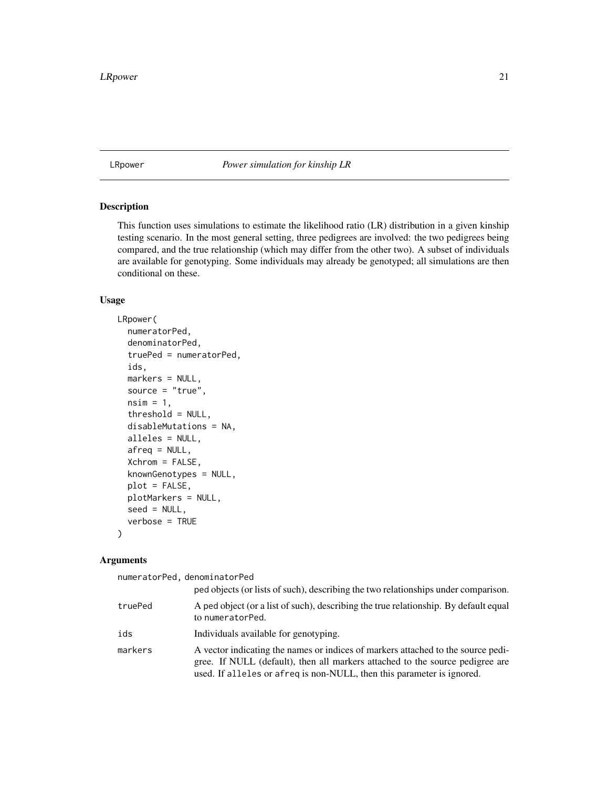<span id="page-20-1"></span><span id="page-20-0"></span>LRpower *Power simulation for kinship LR*

# Description

This function uses simulations to estimate the likelihood ratio (LR) distribution in a given kinship testing scenario. In the most general setting, three pedigrees are involved: the two pedigrees being compared, and the true relationship (which may differ from the other two). A subset of individuals are available for genotyping. Some individuals may already be genotyped; all simulations are then conditional on these.

# Usage

```
LRpower(
  numeratorPed,
  denominatorPed,
  truePed = numeratorPed,
  ids,
  markers = NULL,
  source = "true",nsim = 1,
  threshold = NULL,
  disableMutations = NA,
  alleles = NULL,
  afreq = NULL,
  Xchrom = FALSE,
  knownGenotypes = NULL,
  plot = FALSE,
  plotMarkers = NULL,
  seed = NULL,
  verbose = TRUE
\lambda
```
#### Arguments

numeratorPed, denominatorPed

|         | ped objects (or lists of such), describing the two relationships under comparison.                                                                                                                                                          |
|---------|---------------------------------------------------------------------------------------------------------------------------------------------------------------------------------------------------------------------------------------------|
| truePed | A ped object (or a list of such), describing the true relationship. By default equal<br>to numeratorPed.                                                                                                                                    |
| ids     | Individuals available for genotyping.                                                                                                                                                                                                       |
| markers | A vector indicating the names or indices of markers attached to the source pedi-<br>gree. If NULL (default), then all markers attached to the source pedigree are<br>used. If alleles or afreq is non-NULL, then this parameter is ignored. |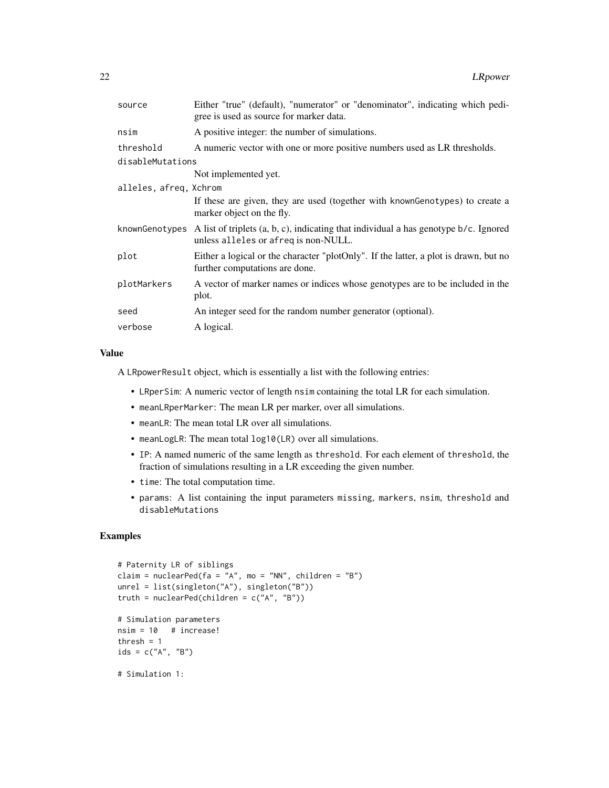| source                 | Either "true" (default), "numerator" or "denominator", indicating which pedi-<br>gree is used as source for marker data.                          |
|------------------------|---------------------------------------------------------------------------------------------------------------------------------------------------|
| nsim                   | A positive integer: the number of simulations.                                                                                                    |
| threshold              | A numeric vector with one or more positive numbers used as LR thresholds.                                                                         |
| disableMutations       |                                                                                                                                                   |
|                        | Not implemented yet.                                                                                                                              |
| alleles, afreq, Xchrom |                                                                                                                                                   |
|                        | If these are given, they are used (together with known Genotypes) to create a<br>marker object on the fly.                                        |
|                        | knownGenotypes A list of triplets $(a, b, c)$ , indicating that individual a has genotype $b/c$ . Ignored<br>unless alleles or afreq is non-NULL. |
| plot                   | Either a logical or the character "plotOnly". If the latter, a plot is drawn, but no<br>further computations are done.                            |
| plotMarkers            | A vector of marker names or indices whose genotypes are to be included in the<br>plot.                                                            |
| seed                   | An integer seed for the random number generator (optional).                                                                                       |
| verbose                | A logical.                                                                                                                                        |
|                        |                                                                                                                                                   |

#### Value

A LRpowerResult object, which is essentially a list with the following entries:

- LRperSim: A numeric vector of length nsim containing the total LR for each simulation.
- meanLRperMarker: The mean LR per marker, over all simulations.
- meanLR: The mean total LR over all simulations.
- meanLogLR: The mean total log10(LR) over all simulations.
- IP: A named numeric of the same length as threshold. For each element of threshold, the fraction of simulations resulting in a LR exceeding the given number.
- time: The total computation time.
- params: A list containing the input parameters missing, markers, nsim, threshold and disableMutations

```
# Paternity LR of siblings
claim = nuclearPed(fa = 'A'', mo = ''NN'', children = ''B'')
unrel = list(singleton("A"), singleton("B"))
truth = nuclearPed(children = c("A", "B"))
# Simulation parameters
nsim = 10 # increase!
thresh = 1ids = c("A", "B")# Simulation 1:
```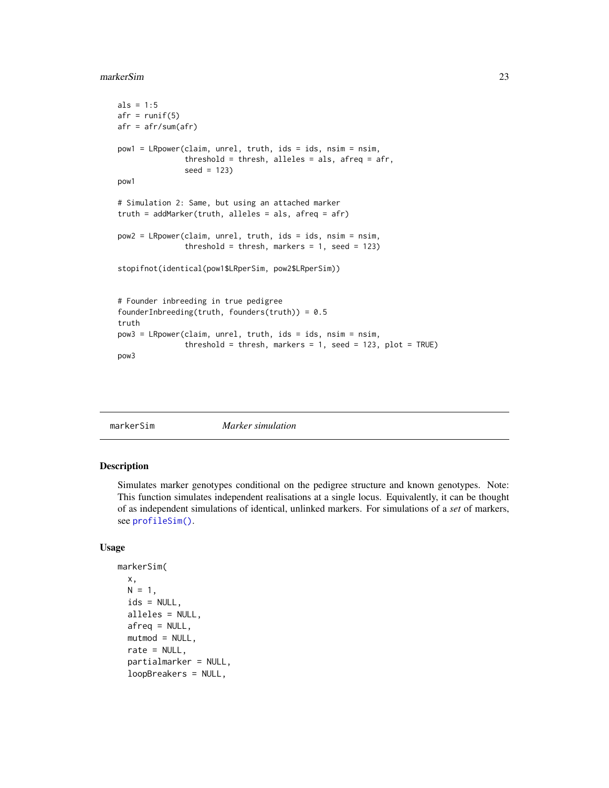#### <span id="page-22-0"></span>markerSim 23

```
als = 1:5afr = runif(5)afr = afr/sum(afr)
pow1 = LRpower(claim, unrel, truth, ids = ids, nsim = nsim,
               threshold = thresh, alleles = als, afreq = afr,
               seed = 123)
pow1
# Simulation 2: Same, but using an attached marker
truth = addMarker(truth, alleles = als, afreq = afr)
pow2 = LRpower(claim, unrel, truth, ids = ids, nsim = nsim,
               threshold = thresh, markers = 1, seed = 123)
stopifnot(identical(pow1$LRperSim, pow2$LRperSim))
# Founder inbreeding in true pedigree
founderInbreeding(truth, founders(truth)) = 0.5truth
pow3 = LRpower(claim, unrel, truth, ids = ids, nsim = nsim,
               threshold = thresh, markers = 1, seed = 123, plot = TRUE)
pow3
```
<span id="page-22-1"></span>

```
markerSim Marker simulation
```
#### Description

Simulates marker genotypes conditional on the pedigree structure and known genotypes. Note: This function simulates independent realisations at a single locus. Equivalently, it can be thought of as independent simulations of identical, unlinked markers. For simulations of a *set* of markers, see [profileSim\(\)](#page-39-1).

#### Usage

```
markerSim(
 x,
 N = 1,
  ids = NULL,
 alleles = NULL,
  afreq = NULL,
 mutmod = NULL,
  rate = NULL,
  partialmarker = NULL,
  loopBreakers = NULL,
```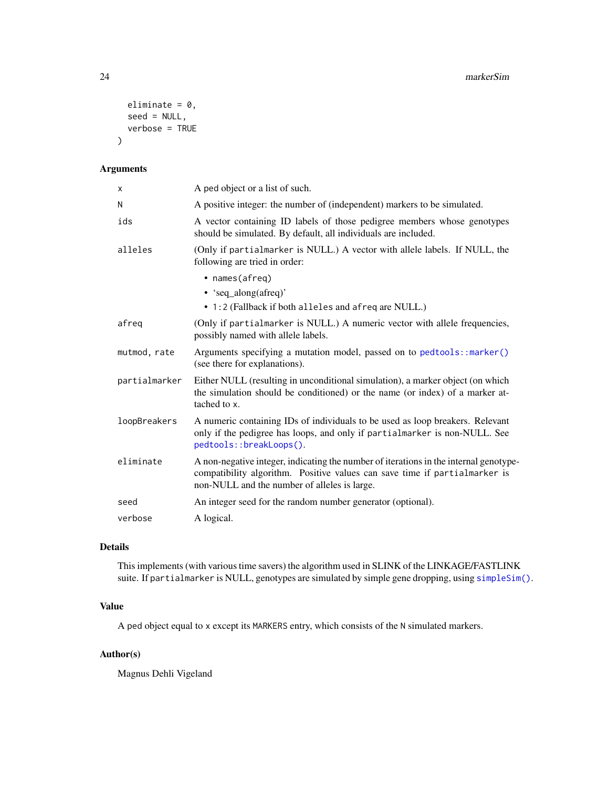```
eliminate = 0,
  seed = NULL,verbose = TRUE
\mathcal{L}
```
# Arguments

| X             | A ped object or a list of such.                                                                                                                                                                                     |
|---------------|---------------------------------------------------------------------------------------------------------------------------------------------------------------------------------------------------------------------|
| N             | A positive integer: the number of (independent) markers to be simulated.                                                                                                                                            |
| ids           | A vector containing ID labels of those pedigree members whose genotypes<br>should be simulated. By default, all individuals are included.                                                                           |
| alleles       | (Only if partialmarker is NULL.) A vector with allele labels. If NULL, the<br>following are tried in order:                                                                                                         |
|               | • names(afreq)<br>• 'seq_along(afreq)'<br>• 1:2 (Fallback if both alleles and afreq are NULL.)                                                                                                                      |
| afreq         | (Only if partialmarker is NULL.) A numeric vector with allele frequencies,<br>possibly named with allele labels.                                                                                                    |
| mutmod, rate  | Arguments specifying a mutation model, passed on to pedtools: : marker()<br>(see there for explanations).                                                                                                           |
| partialmarker | Either NULL (resulting in unconditional simulation), a marker object (on which<br>the simulation should be conditioned) or the name (or index) of a marker at-<br>tached to x.                                      |
| loopBreakers  | A numeric containing IDs of individuals to be used as loop breakers. Relevant<br>only if the pedigree has loops, and only if partialmarker is non-NULL. See<br>pedtools::breakLoops().                              |
| eliminate     | A non-negative integer, indicating the number of iterations in the internal genotype-<br>compatibility algorithm. Positive values can save time if partialmarker is<br>non-NULL and the number of alleles is large. |
| seed          | An integer seed for the random number generator (optional).                                                                                                                                                         |
| verbose       | A logical.                                                                                                                                                                                                          |

# Details

This implements (with various time savers) the algorithm used in SLINK of the LINKAGE/FASTLINK suite. If partialmarker is NULL, genotypes are simulated by simple gene dropping, using [simpleSim\(\)](#page-44-1).

# Value

A ped object equal to x except its MARKERS entry, which consists of the N simulated markers.

# Author(s)

Magnus Dehli Vigeland

<span id="page-23-0"></span>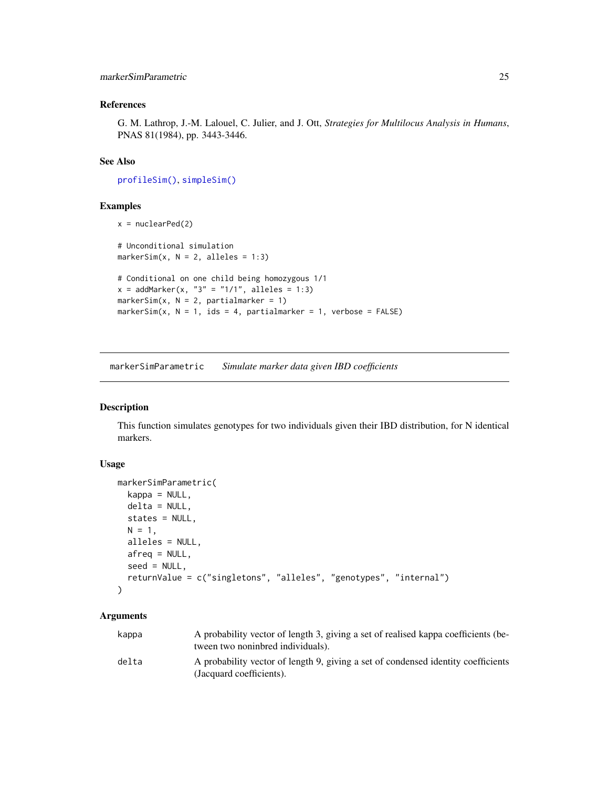# <span id="page-24-0"></span>References

G. M. Lathrop, J.-M. Lalouel, C. Julier, and J. Ott, *Strategies for Multilocus Analysis in Humans*, PNAS 81(1984), pp. 3443-3446.

# See Also

[profileSim\(\)](#page-39-1), [simpleSim\(\)](#page-44-1)

#### Examples

```
x = nuclearPed(2)# Unconditional simulation
markerSim(x, N = 2, alleles = 1:3)
# Conditional on one child being homozygous 1/1
x = addMarket(x, "3" = "1/1", alleles = 1:3)markersim(x, N = 2, partialmarker = 1)markerSim(x, N = 1, ids = 4, partialmarker = 1, verbose = FALSE)
```
<span id="page-24-1"></span>markerSimParametric *Simulate marker data given IBD coefficients*

#### Description

This function simulates genotypes for two individuals given their IBD distribution, for N identical markers.

#### Usage

```
markerSimParametric(
  kappa = NULL,delta = NULL,
  states = NULL,
 N = 1,
  alleles = NULL,
 afreq = NULL,
 seed = NULL,
  returnValue = c("singletons", "alleles", "genotypes", "internal")
)
```
#### Arguments

| kappa | A probability vector of length 3, giving a set of realised kappa coefficients (be-<br>tween two noninbred individuals). |
|-------|-------------------------------------------------------------------------------------------------------------------------|
| delta | A probability vector of length 9, giving a set of condensed identity coefficients<br>(Jacquard coefficients).           |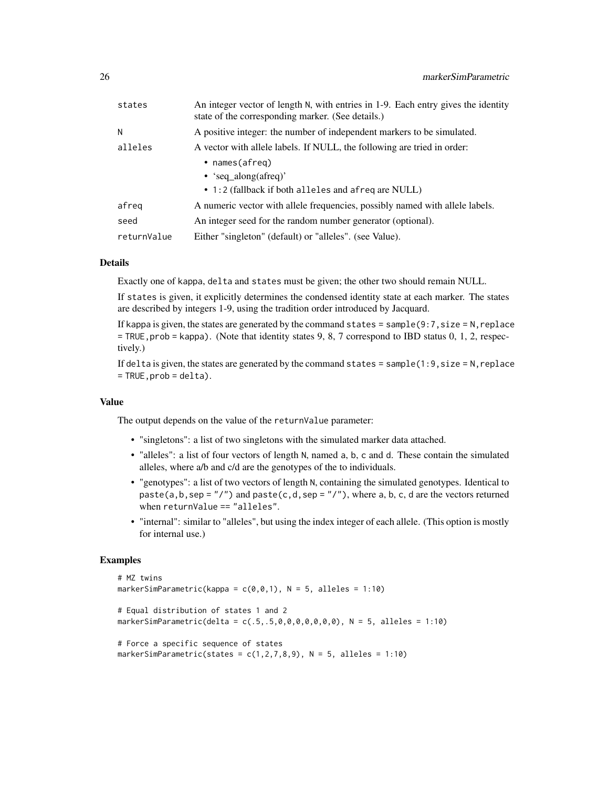| states      | An integer vector of length N, with entries in 1-9. Each entry gives the identity<br>state of the corresponding marker. (See details.) |
|-------------|----------------------------------------------------------------------------------------------------------------------------------------|
| N           | A positive integer: the number of independent markers to be simulated.                                                                 |
| alleles     | A vector with allele labels. If NULL, the following are tried in order:                                                                |
|             | • $names(afreq)$                                                                                                                       |
|             | • 'seq along(afreq)'                                                                                                                   |
|             | • 1:2 (fallback if both alleles and afreq are NULL)                                                                                    |
| afreg       | A numeric vector with allele frequencies, possibly named with allele labels.                                                           |
| seed        | An integer seed for the random number generator (optional).                                                                            |
| returnValue | Either "singleton" (default) or "alleles". (see Value).                                                                                |

# Details

Exactly one of kappa, delta and states must be given; the other two should remain NULL.

If states is given, it explicitly determines the condensed identity state at each marker. The states are described by integers 1-9, using the tradition order introduced by Jacquard.

If kappa is given, the states are generated by the command states = sample( $9:7$ , size = N, replace  $=$  TRUE, prob  $=$  kappa). (Note that identity states 9, 8, 7 correspond to IBD status 0, 1, 2, respectively.)

If delta is given, the states are generated by the command states =  $sample(1:9,size = N,replace$  $=$  TRUE,  $prob = delta$ ).

#### Value

The output depends on the value of the returnValue parameter:

- "singletons": a list of two singletons with the simulated marker data attached.
- "alleles": a list of four vectors of length N, named a, b, c and d. These contain the simulated alleles, where a/b and c/d are the genotypes of the to individuals.
- "genotypes": a list of two vectors of length N, containing the simulated genotypes. Identical to paste(a,b,sep =  $''/$ ") and paste(c,d,sep =  $''/$ "), where a, b, c, d are the vectors returned when returnValue == "alleles".
- "internal": similar to "alleles", but using the index integer of each allele. (This option is mostly for internal use.)

```
# MZ twins
markerSimParametric(kappa = c(\emptyset, \emptyset, 1), N = 5, alleles = 1:10)
# Equal distribution of states 1 and 2
markerSimParametric(delta = c(.5,.5,0,0,0,0,0,0,0,0), N = 5, alleles = 1:10)
# Force a specific sequence of states
markerSimParametric(states = c(1,2,7,8,9), N = 5, alleles = 1:10)
```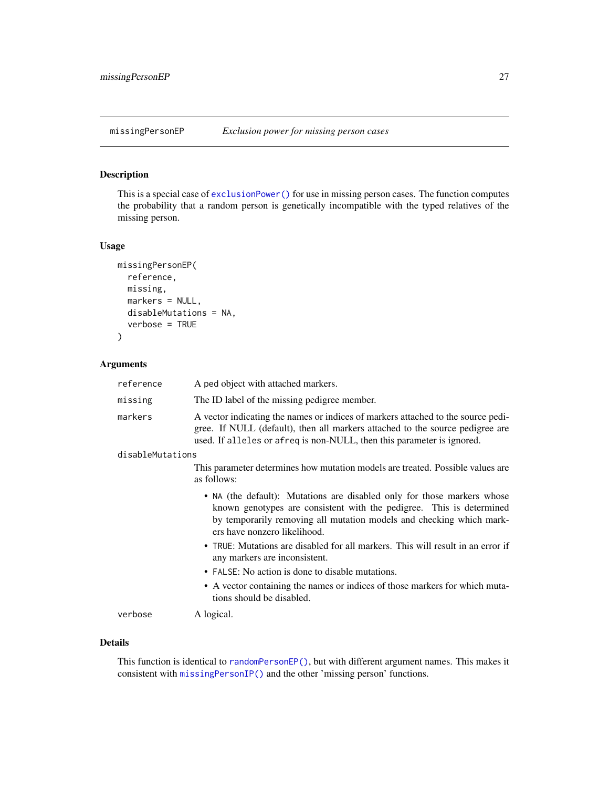# <span id="page-26-1"></span><span id="page-26-0"></span>Description

This is a special case of [exclusionPower\(\)](#page-3-1) for use in missing person cases. The function computes the probability that a random person is genetically incompatible with the typed relatives of the missing person.

## Usage

```
missingPersonEP(
  reference,
 missing,
 markers = NULL,
 disableMutations = NA,
  verbose = TRUE
)
```
#### Arguments

| reference        | A ped object with attached markers.                                                                                                                                                                                                                     |
|------------------|---------------------------------------------------------------------------------------------------------------------------------------------------------------------------------------------------------------------------------------------------------|
| missing          | The ID label of the missing pedigree member.                                                                                                                                                                                                            |
| markers          | A vector indicating the names or indices of markers attached to the source pedi-<br>gree. If NULL (default), then all markers attached to the source pedigree are<br>used. If alleles or afreq is non-NULL, then this parameter is ignored.             |
| disableMutations |                                                                                                                                                                                                                                                         |
|                  | This parameter determines how mutation models are treated. Possible values are<br>as follows:                                                                                                                                                           |
|                  | • NA (the default): Mutations are disabled only for those markers whose<br>known genotypes are consistent with the pedigree. This is determined<br>by temporarily removing all mutation models and checking which mark-<br>ers have nonzero likelihood. |
|                  | • TRUE: Mutations are disabled for all markers. This will result in an error if<br>any markers are inconsistent.                                                                                                                                        |
|                  | • FALSE: No action is done to disable mutations.                                                                                                                                                                                                        |
|                  | • A vector containing the names or indices of those markers for which muta-<br>tions should be disabled.                                                                                                                                                |
| verbose          | A logical.                                                                                                                                                                                                                                              |

#### Details

This function is identical to [randomPersonEP\(\)](#page-42-1), but with different argument names. This makes it consistent with [missingPersonIP\(\)](#page-27-1) and the other 'missing person' functions.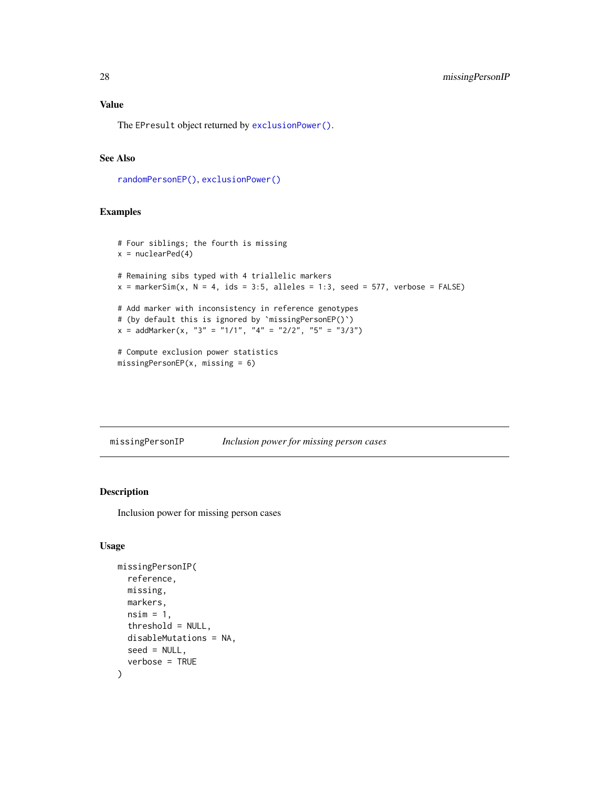#### <span id="page-27-0"></span>Value

The EPresult object returned by [exclusionPower\(\)](#page-3-1).

# See Also

[randomPersonEP\(\)](#page-42-1), [exclusionPower\(\)](#page-3-1)

#### Examples

```
# Four siblings; the fourth is missing
x = nuclearPed(4)# Remaining sibs typed with 4 triallelic markers
x = markerSim(x, N = 4, ids = 3:5, alleles = 1:3, seed = 577, verbose = FALSE)
# Add marker with inconsistency in reference genotypes
# (by default this is ignored by `missingPersonEP()`)
x = \text{addMarket}(x, "3" = "1/1", "4" = "2/2", "5" = "3/3")# Compute exclusion power statistics
missingPersonEP(x, missing = 6)
```
<span id="page-27-1"></span>missingPersonIP *Inclusion power for missing person cases*

# Description

Inclusion power for missing person cases

#### Usage

```
missingPersonIP(
  reference,
 missing,
 markers,
  nsim = 1,
  threshold = NULL,
  disableMutations = NA,
  seed = NULL,
  verbose = TRUE
)
```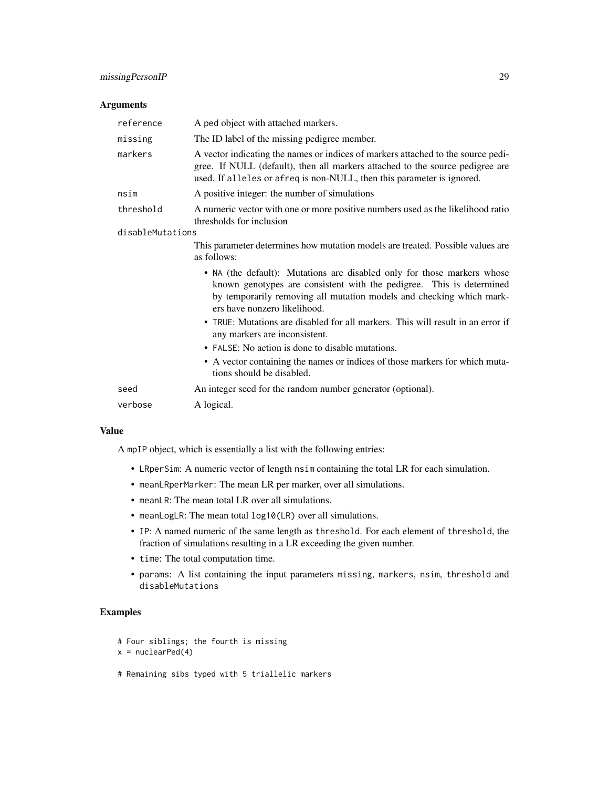# Arguments

| reference        | A ped object with attached markers.                                                                                                                                                                                                                     |
|------------------|---------------------------------------------------------------------------------------------------------------------------------------------------------------------------------------------------------------------------------------------------------|
| missing          | The ID label of the missing pedigree member.                                                                                                                                                                                                            |
| markers          | A vector indicating the names or indices of markers attached to the source pedi-<br>gree. If NULL (default), then all markers attached to the source pedigree are<br>used. If alleles or afreq is non-NULL, then this parameter is ignored.             |
| nsim             | A positive integer: the number of simulations                                                                                                                                                                                                           |
| threshold        | A numeric vector with one or more positive numbers used as the likelihood ratio<br>thresholds for inclusion                                                                                                                                             |
| disableMutations |                                                                                                                                                                                                                                                         |
|                  | This parameter determines how mutation models are treated. Possible values are<br>as follows:                                                                                                                                                           |
|                  | • NA (the default): Mutations are disabled only for those markers whose<br>known genotypes are consistent with the pedigree. This is determined<br>by temporarily removing all mutation models and checking which mark-<br>ers have nonzero likelihood. |
|                  | • TRUE: Mutations are disabled for all markers. This will result in an error if<br>any markers are inconsistent.                                                                                                                                        |
|                  | • FALSE: No action is done to disable mutations.                                                                                                                                                                                                        |
|                  | • A vector containing the names or indices of those markers for which muta-<br>tions should be disabled.                                                                                                                                                |
| seed             | An integer seed for the random number generator (optional).                                                                                                                                                                                             |
| verbose          | A logical.                                                                                                                                                                                                                                              |

#### Value

A mpIP object, which is essentially a list with the following entries:

- LRperSim: A numeric vector of length nsim containing the total LR for each simulation.
- meanLRperMarker: The mean LR per marker, over all simulations.
- meanLR: The mean total LR over all simulations.
- meanLogLR: The mean total log10(LR) over all simulations.
- IP: A named numeric of the same length as threshold. For each element of threshold, the fraction of simulations resulting in a LR exceeding the given number.
- time: The total computation time.
- params: A list containing the input parameters missing, markers, nsim, threshold and disableMutations

# Examples

```
# Four siblings; the fourth is missing
```

```
x = nuclearPed(4)
```
# Remaining sibs typed with 5 triallelic markers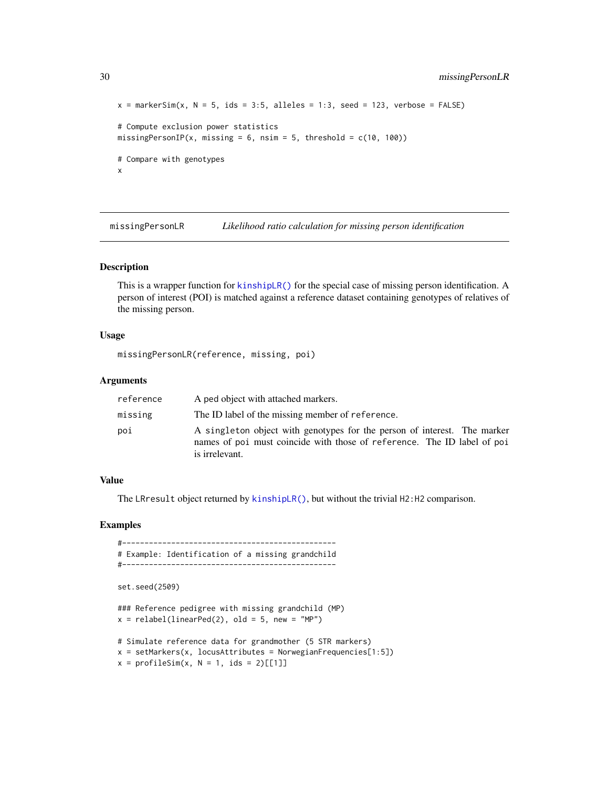```
x = markerSim(x, N = 5, ids = 3:5, alleles = 1:3, seed = 123, verbose = FALSE)
# Compute exclusion power statistics
missingPersonIP(x, missing = 6, nsim = 5, threshold = c(10, 100))
# Compare with genotypes
x
```
missingPersonLR *Likelihood ratio calculation for missing person identification*

#### Description

This is a wrapper function for [kinshipLR\(\)](#page-18-1) for the special case of missing person identification. A person of interest (POI) is matched against a reference dataset containing genotypes of relatives of the missing person.

#### Usage

missingPersonLR(reference, missing, poi)

#### Arguments

| reference | A ped object with attached markers.                                                                                                                                   |
|-----------|-----------------------------------------------------------------------------------------------------------------------------------------------------------------------|
| missing   | The ID label of the missing member of reference.                                                                                                                      |
| poi       | A singleton object with genotypes for the person of interest. The marker<br>names of poi must coincide with those of reference. The ID label of poi<br>is irrelevant. |

# Value

The LRresult object returned by [kinshipLR\(\)](#page-18-1), but without the trivial H2:H2 comparison.

#### Examples

#------------------------------------------------ # Example: Identification of a missing grandchild #------------------------------------------------

```
set.seed(2509)
```
### Reference pedigree with missing grandchild (MP)  $x =$  relabel(linearPed(2), old = 5, new = "MP")

# Simulate reference data for grandmother (5 STR markers)  $x = setMarkers(x, locusAttributes = NorwegianFrequency[1:5])$  $x = profileSim(x, N = 1, ids = 2)[11]$ 

<span id="page-29-0"></span>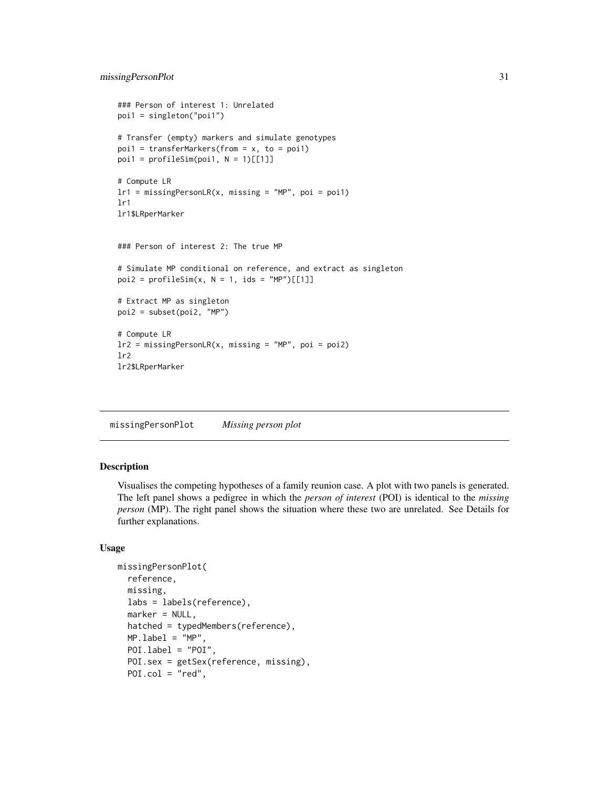# <span id="page-30-0"></span>missingPersonPlot 31

```
### Person of interest 1: Unrelated
poi1 = singleton("poi1")
# Transfer (empty) markers and simulate genotypes
poi1 = transferMarkers(from = x, to = poi1)poi1 = profileSim(poi1, N = 1)[[1]]# Compute LR
lr1 = missingPersonLR(x, missing = "MP", poi = poi1)lr1
lr1$LRperMarker
### Person of interest 2: The true MP
# Simulate MP conditional on reference, and extract as singleton
poi2 = profileSim(x, N = 1, ids = "MP")[[1]]# Extract MP as singleton
poi2 = subset(poi2, "MP")
# Compute LR
lr2 = missingPersonLR(x, missing = "MP", poi = poi2)
lr2
lr2$LRperMarker
```
missingPersonPlot *Missing person plot*

# Description

Visualises the competing hypotheses of a family reunion case. A plot with two panels is generated. The left panel shows a pedigree in which the *person of interest* (POI) is identical to the *missing person* (MP). The right panel shows the situation where these two are unrelated. See Details for further explanations.

#### Usage

```
missingPersonPlot(
  reference,
 missing,
 labs = labels(reference),
 marker = NULL,
 hatched = typedMembers(reference),
 MP.load = "MP".POI.label = "POI",
 POI.sex = getSex(reference, missing),
 POI.col = "red",
```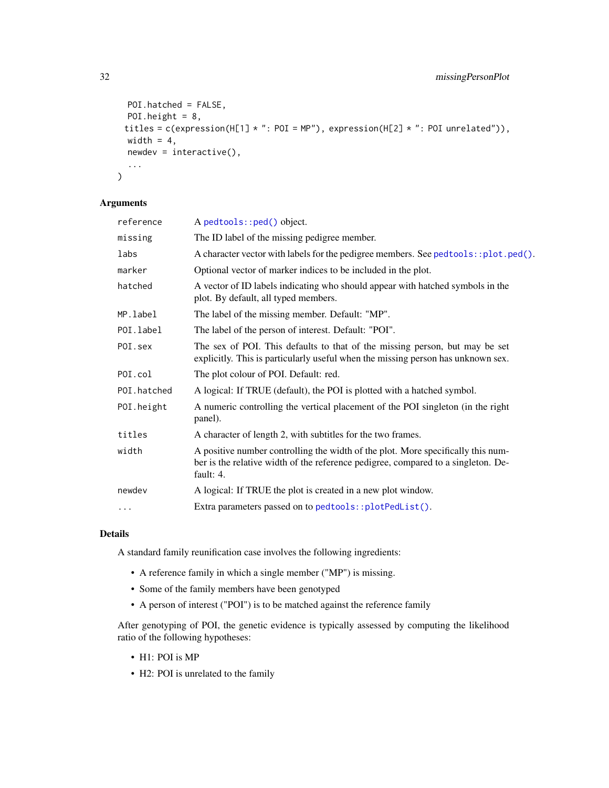```
POI.hatched = FALSE,
 POI.height = 8,
 titles = c(expression(H[1] * ": POI = MP"), expression(H[2] * ": POI unrelated")),
 width = 4,
 newdev = interactive(),
  ...
\mathcal{E}
```
# Arguments

| reference   | A pedtools::ped() object.                                                                                                                                                          |
|-------------|------------------------------------------------------------------------------------------------------------------------------------------------------------------------------------|
| missing     | The ID label of the missing pedigree member.                                                                                                                                       |
| labs        | A character vector with labels for the pedigree members. See pedtools::plot.ped().                                                                                                 |
| marker      | Optional vector of marker indices to be included in the plot.                                                                                                                      |
| hatched     | A vector of ID labels indicating who should appear with hatched symbols in the<br>plot. By default, all typed members.                                                             |
| MP.label    | The label of the missing member. Default: "MP".                                                                                                                                    |
| POI.label   | The label of the person of interest. Default: "POI".                                                                                                                               |
| POI.sex     | The sex of POI. This defaults to that of the missing person, but may be set<br>explicitly. This is particularly useful when the missing person has unknown sex.                    |
| POI.col     | The plot colour of POI. Default: red.                                                                                                                                              |
| POI.hatched | A logical: If TRUE (default), the POI is plotted with a hatched symbol.                                                                                                            |
| POI.height  | A numeric controlling the vertical placement of the POI singleton (in the right<br>panel).                                                                                         |
| titles      | A character of length 2, with subtitles for the two frames.                                                                                                                        |
| width       | A positive number controlling the width of the plot. More specifically this num-<br>ber is the relative width of the reference pedigree, compared to a singleton. De-<br>fault: 4. |
| newdev      | A logical: If TRUE the plot is created in a new plot window.                                                                                                                       |
| $\cdots$    | Extra parameters passed on to pedtools::plotPedList().                                                                                                                             |
|             |                                                                                                                                                                                    |

# Details

A standard family reunification case involves the following ingredients:

- A reference family in which a single member ("MP") is missing.
- Some of the family members have been genotyped
- A person of interest ("POI") is to be matched against the reference family

After genotyping of POI, the genetic evidence is typically assessed by computing the likelihood ratio of the following hypotheses:

- H1: POI is MP
- H2: POI is unrelated to the family

<span id="page-31-0"></span>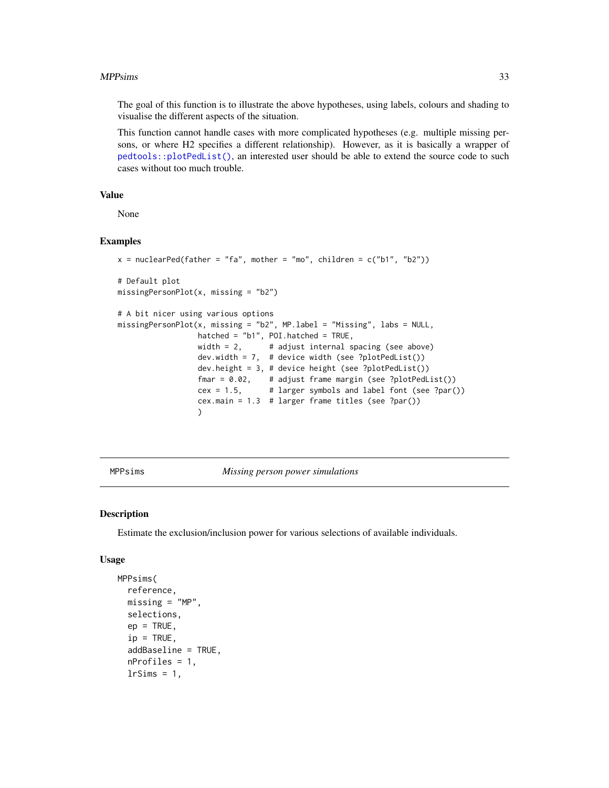#### <span id="page-32-0"></span>MPPsims 33

The goal of this function is to illustrate the above hypotheses, using labels, colours and shading to visualise the different aspects of the situation.

This function cannot handle cases with more complicated hypotheses (e.g. multiple missing persons, or where H2 specifies a different relationship). However, as it is basically a wrapper of [pedtools::plotPedList\(\)](#page-0-0), an interested user should be able to extend the source code to such cases without too much trouble.

#### Value

None

# Examples

```
x = nuclearPed(father = "fa", mother = "mo", children = c("b1", "b2"))# Default plot
missingPersonPlot(x, missing = "b2")
# A bit nicer using various options
missingPersonPlot(x, missing = "b2", MP.label = "Missing", labs = NULL,
                   hatched = "b1", POI.hatched = TRUE,
                   width = 2, \# adjust internal spacing (see above)
                   width = 2, \cdots # adjust internal spacing (see above dev.width = 7, \cdots # device width (see ?plotPedList())
                   dev.height = 3, # device height (see ?plotPedList())
                   fmar = 0.02, # adjust frame margin (see ?plotPedList())
                   cex = 1.5, # larger symbols and label font (see ?par())
                   cex.main = 1.3 # larger frame titles (see ?par())
                   \lambda
```
<span id="page-32-1"></span>MPPsims *Missing person power simulations*

#### Description

Estimate the exclusion/inclusion power for various selections of available individuals.

#### Usage

```
MPPsims(
  reference,
  missing = "MP",
  selections,
  ep = TRUE,ip = TRUE,
  addBaseline = TRUE,
  nProfiles = 1,
  lrSims = 1,
```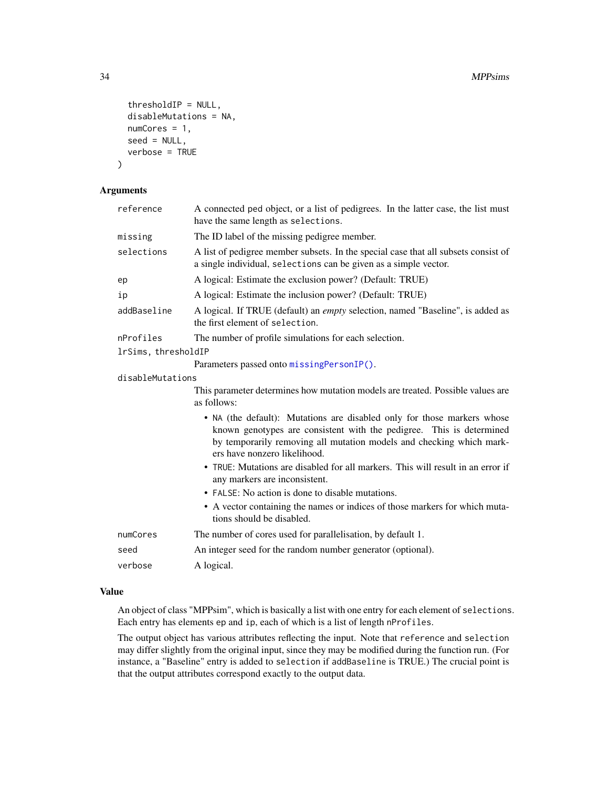```
thresholdIP = NULL,
  disableMutations = NA,
  numCores = 1,
  seed = NULL,
  verbose = TRUE
\mathcal{E}
```
#### Arguments

| reference           | A connected ped object, or a list of pedigrees. In the latter case, the list must<br>have the same length as selections.                                                                                                                                |
|---------------------|---------------------------------------------------------------------------------------------------------------------------------------------------------------------------------------------------------------------------------------------------------|
| missing             | The ID label of the missing pedigree member.                                                                                                                                                                                                            |
| selections          | A list of pedigree member subsets. In the special case that all subsets consist of<br>a single individual, selections can be given as a simple vector.                                                                                                  |
| ep                  | A logical: Estimate the exclusion power? (Default: TRUE)                                                                                                                                                                                                |
| ip                  | A logical: Estimate the inclusion power? (Default: TRUE)                                                                                                                                                                                                |
| addBaseline         | A logical. If TRUE (default) an <i>empty</i> selection, named "Baseline", is added as<br>the first element of selection.                                                                                                                                |
| nProfiles           | The number of profile simulations for each selection.                                                                                                                                                                                                   |
| lrSims, thresholdIP |                                                                                                                                                                                                                                                         |
|                     | Parameters passed onto missingPersonIP().                                                                                                                                                                                                               |
| disableMutations    |                                                                                                                                                                                                                                                         |
|                     | This parameter determines how mutation models are treated. Possible values are<br>as follows:                                                                                                                                                           |
|                     | • NA (the default): Mutations are disabled only for those markers whose<br>known genotypes are consistent with the pedigree. This is determined<br>by temporarily removing all mutation models and checking which mark-<br>ers have nonzero likelihood. |
|                     | • TRUE: Mutations are disabled for all markers. This will result in an error if<br>any markers are inconsistent.                                                                                                                                        |
|                     | • FALSE: No action is done to disable mutations.                                                                                                                                                                                                        |
|                     | • A vector containing the names or indices of those markers for which muta-<br>tions should be disabled.                                                                                                                                                |
| numCores            | The number of cores used for parallelisation, by default 1.                                                                                                                                                                                             |
| seed                | An integer seed for the random number generator (optional).                                                                                                                                                                                             |
| verbose             | A logical.                                                                                                                                                                                                                                              |

# Value

An object of class "MPPsim", which is basically a list with one entry for each element of selections. Each entry has elements ep and ip, each of which is a list of length nProfiles.

The output object has various attributes reflecting the input. Note that reference and selection may differ slightly from the original input, since they may be modified during the function run. (For instance, a "Baseline" entry is added to selection if addBaseline is TRUE.) The crucial point is that the output attributes correspond exactly to the output data.

<span id="page-33-0"></span>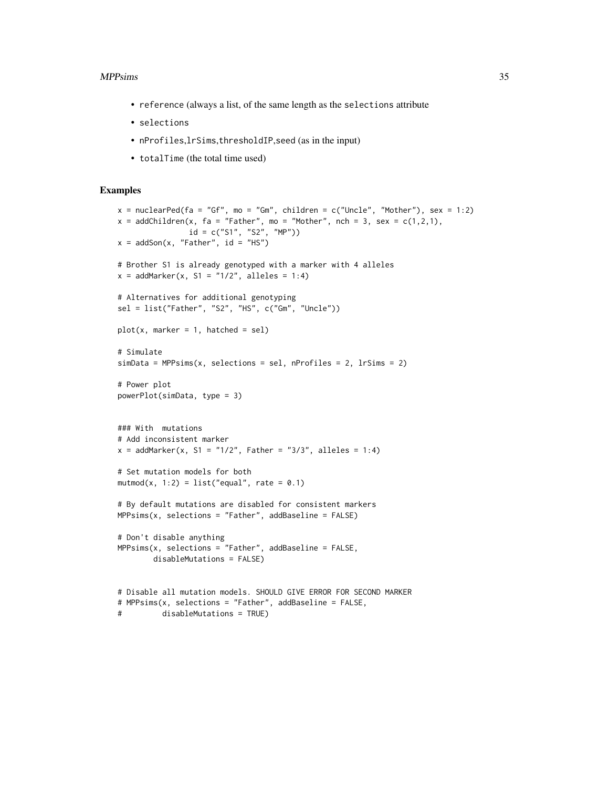#### MPPsims 35

- reference (always a list, of the same length as the selections attribute
- selections
- nProfiles,lrSims,thresholdIP,seed (as in the input)
- totalTime (the total time used)

```
x = nuclearPed(fa = "Gf", mo = "Gm", children = c("Uncle", "Mother"), sex = 1:2)x = addChildren(x, fa = "Father", mo = "Mother", nch = 3, sex = c(1,2,1),id = c("S1", "S2", "MP"))
x = addSon(x, "Father", id = "HS")# Brother S1 is already genotyped with a marker with 4 alleles
x = addMarket(x, S1 = "1/2", alleles = 1:4)# Alternatives for additional genotyping
sel = list("Father", "S2", "HS", c("Gm", "Uncle"))
plot(x, marker = 1, hatched = sel)# Simulate
simData = MPPsims(x, selections = sel, nProfiles = 2, lrsims = 2)# Power plot
powerPlot(simData, type = 3)
### With mutations
# Add inconsistent marker
x = addMarket(x, S1 = "1/2", Father = "3/3", alleles = 1:4)# Set mutation models for both
mutmod(x, 1:2) = list("equal", rate = 0.1)
# By default mutations are disabled for consistent markers
MPPsims(x, selections = "Father", addBaseline = FALSE)
# Don't disable anything
MPPsims(x, selections = "Father", addBaseline = FALSE,disableMutations = FALSE)
# Disable all mutation models. SHOULD GIVE ERROR FOR SECOND MARKER
# MPPsims(x, selections = "Father", addBaseline = FALSE,
# disableMutations = TRUE)
```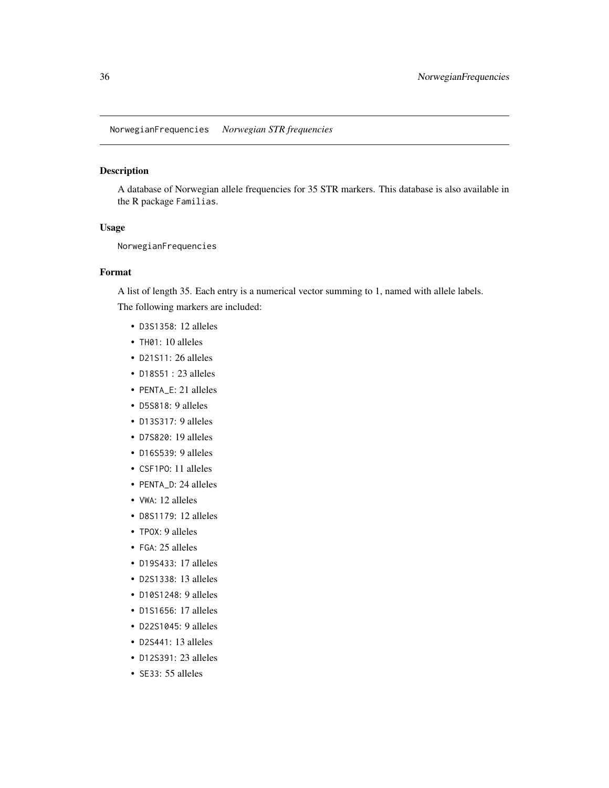# <span id="page-35-0"></span>Description

A database of Norwegian allele frequencies for 35 STR markers. This database is also available in the R package Familias.

## Usage

NorwegianFrequencies

#### Format

A list of length 35. Each entry is a numerical vector summing to 1, named with allele labels.

The following markers are included:

- D3S1358: 12 alleles
- TH01: 10 alleles
- D21S11: 26 alleles
- D18S51 : 23 alleles
- PENTA\_E: 21 alleles
- D5S818: 9 alleles
- D13S317: 9 alleles
- D7S820: 19 alleles
- D16S539: 9 alleles
- CSF1PO: 11 alleles
- PENTA\_D: 24 alleles
- VWA: 12 alleles
- D8S1179: 12 alleles
- TPOX: 9 alleles
- FGA: 25 alleles
- D19S433: 17 alleles
- D2S1338: 13 alleles
- D10S1248: 9 alleles
- D1S1656: 17 alleles
- D22S1045: 9 alleles
- D2S441: 13 alleles
- D12S391: 23 alleles
- SE33: 55 alleles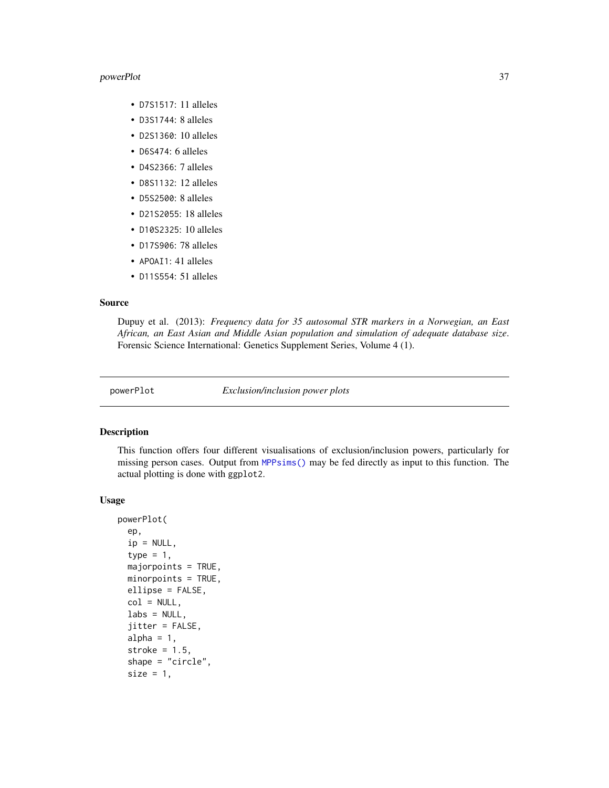#### <span id="page-36-0"></span>powerPlot 37

- D7S1517: 11 alleles
- D3S1744: 8 alleles
- D2S1360: 10 alleles
- D6S474: 6 alleles
- D4S2366: 7 alleles
- D8S1132: 12 alleles
- D5S2500: 8 alleles
- D21S2055: 18 alleles
- D10S2325: 10 alleles
- D17S906: 78 alleles
- APOAI1: 41 alleles
- D11S554: 51 alleles

# Source

Dupuy et al. (2013): *Frequency data for 35 autosomal STR markers in a Norwegian, an East African, an East Asian and Middle Asian population and simulation of adequate database size*. Forensic Science International: Genetics Supplement Series, Volume 4 (1).

powerPlot *Exclusion/inclusion power plots*

#### Description

This function offers four different visualisations of exclusion/inclusion powers, particularly for missing person cases. Output from [MPPsims\(\)](#page-32-1) may be fed directly as input to this function. The actual plotting is done with ggplot2.

#### Usage

```
powerPlot(
  ep,
  ip = NULL,type = 1,
  majorpoints = TRUE,
  minorpoints = TRUE,
  ellipse = FALSE,
  col = NULL,\text{labels} = \text{NULL},
  jitter = FALSE,
  alpha = 1,
  stroke = 1.5,
  shape = "circle",
  size = 1,
```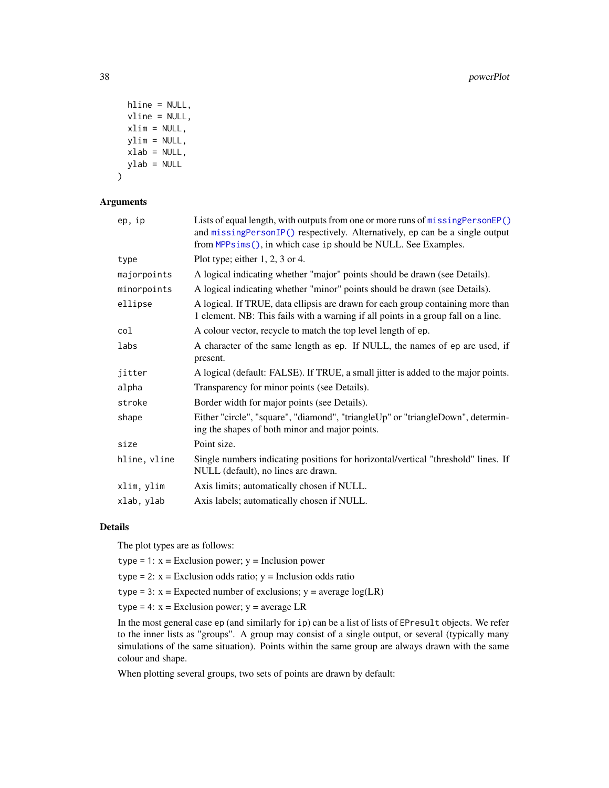```
hline = NULL,
 vline = NULL,
 xlim = NULL,ylim = NULL,
 xlab = NULL,
 ylab = NULL
\lambda
```
# Arguments

| ep, ip       | Lists of equal length, with outputs from one or more runs of missingPersonEP()<br>and missingPersonIP() respectively. Alternatively, ep can be a single output<br>from MPPsims(), in which case ip should be NULL. See Examples. |
|--------------|----------------------------------------------------------------------------------------------------------------------------------------------------------------------------------------------------------------------------------|
| type         | Plot type; either $1, 2, 3$ or 4.                                                                                                                                                                                                |
| majorpoints  | A logical indicating whether "major" points should be drawn (see Details).                                                                                                                                                       |
| minorpoints  | A logical indicating whether "minor" points should be drawn (see Details).                                                                                                                                                       |
| ellipse      | A logical. If TRUE, data ellipsis are drawn for each group containing more than<br>1 element. NB: This fails with a warning if all points in a group fall on a line.                                                             |
| col          | A colour vector, recycle to match the top level length of ep.                                                                                                                                                                    |
| labs         | A character of the same length as ep. If NULL, the names of ep are used, if<br>present.                                                                                                                                          |
| jitter       | A logical (default: FALSE). If TRUE, a small jitter is added to the major points.                                                                                                                                                |
| alpha        | Transparency for minor points (see Details).                                                                                                                                                                                     |
| stroke       | Border width for major points (see Details).                                                                                                                                                                                     |
| shape        | Either "circle", "square", "diamond", "triangleUp" or "triangleDown", determin-<br>ing the shapes of both minor and major points.                                                                                                |
| size         | Point size.                                                                                                                                                                                                                      |
| hline, vline | Single numbers indicating positions for horizontal/vertical "threshold" lines. If<br>NULL (default), no lines are drawn.                                                                                                         |
| xlim, ylim   | Axis limits; automatically chosen if NULL.                                                                                                                                                                                       |
| xlab, ylab   | Axis labels; automatically chosen if NULL.                                                                                                                                                                                       |

# Details

The plot types are as follows:

type = 1:  $x = Exclusion power$ ;  $y = Inclusion power$ 

type = 2:  $x = Exclusion$  odds ratio;  $y = Inclusion$  odds ratio

type = 3:  $x =$  Expected number of exclusions;  $y =$  average log(LR)

type = 4:  $x = Exclusion power$ ;  $y = average LR$ 

In the most general case ep (and similarly for ip) can be a list of lists of EPresult objects. We refer to the inner lists as "groups". A group may consist of a single output, or several (typically many simulations of the same situation). Points within the same group are always drawn with the same colour and shape.

When plotting several groups, two sets of points are drawn by default:

<span id="page-37-0"></span>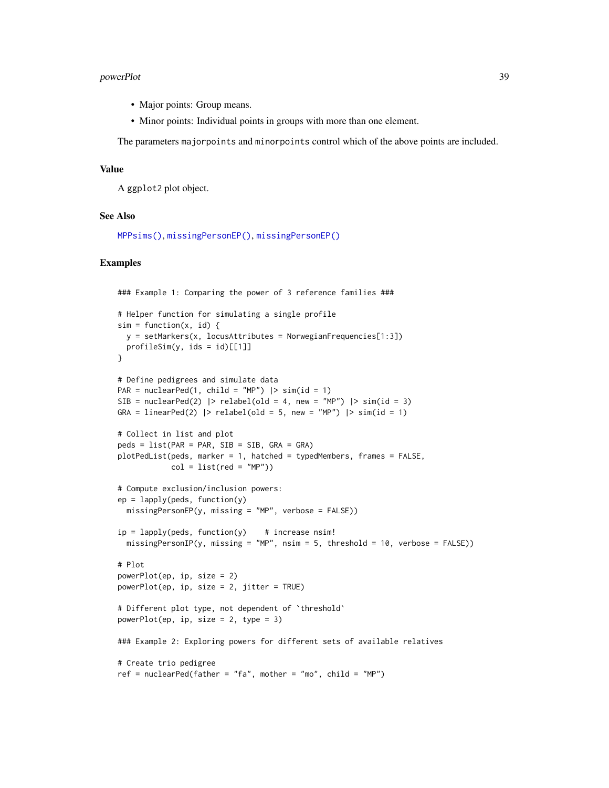#### <span id="page-38-0"></span>powerPlot 39

- Major points: Group means.
- Minor points: Individual points in groups with more than one element.

The parameters majorpoints and minorpoints control which of the above points are included.

## Value

A ggplot2 plot object.

#### See Also

[MPPsims\(\)](#page-32-1), [missingPersonEP\(\)](#page-26-1), [missingPersonEP\(\)](#page-26-1)

```
### Example 1: Comparing the power of 3 reference families ###
# Helper function for simulating a single profile
sim = function(x, id) {
  y = setMarkers(x, locusAttributes = NorwegianFrequency[1:3])profileSim(y,ids = id)[[1]]}
# Define pedigrees and simulate data
PAR = nuclearPed(1, child = "MP") |> sim(id = 1)
SIB = nuclearPed(2) |> relabel(old = 4, new = "MP") |> sim(id = 3)GRA = linearPed(2) | relabel(old = 5, new = "MP") | sim(id = 1)
# Collect in list and plot
peds = list(PAR = PAR, SIB = SIB, GRA = GRA)
plotPedList(peds, marker = 1, hatched = typedMembers, frames = FALSE,
            col = list(\text{red} = "MP")# Compute exclusion/inclusion powers:
ep = \text{lapply}(\text{peds}, \text{ function}(y))missingPersonEP(y, missing = "MP", verbose = FALSE))
ip = \text{lapply}(\text{peds},\text{ function}(y)) # increase nsim!
  missingPersonIP(y, missing = "MP", nsim = 5, threshold = 10, verbose = FALSE))
# Plot
powerPlot(ep, ip, size = 2)
powerPlot(ep, ip, size = 2, jitter = TRUE)
# Different plot type, not dependent of `threshold`
powerPlot(ep, ip, size = 2, type = 3)
### Example 2: Exploring powers for different sets of available relatives
# Create trio pedigree
ref = nuclearPed(father = "fa", mother = "mo", child = "MP")
```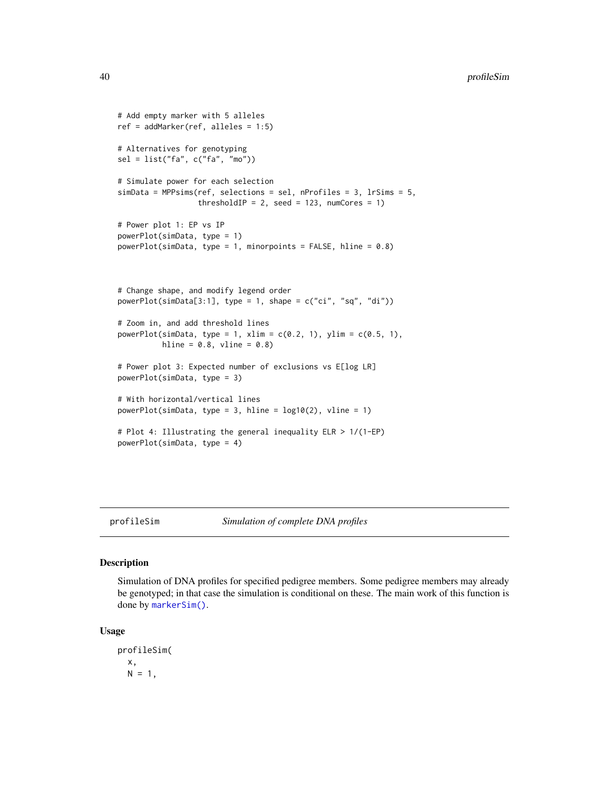```
# Add empty marker with 5 alleles
ref = addMarker(ref, alleles = 1:5)
# Alternatives for genotyping
sel = list("fa", c("fa", "mo"))
# Simulate power for each selection
simData = MPPsims(ref, selections = sel, nProfiles = 3, lrSims = 5,
                  thresholdIP = 2, seed = 123, numCores = 1)
# Power plot 1: EP vs IP
powerPlot(simData, type = 1)
powerPlot(simData, type = 1, minorpoints = FALSE, hline = 0.8)
# Change shape, and modify legend order
powerPlot(simData[3:1], type = 1, shape = c("ci", "sq", "di"))
# Zoom in, and add threshold lines
powerPlot(simData, type = 1, xlim = c(0.2, 1), ylim = c(0.5, 1),
         hline = 0.8, vline = 0.8)
# Power plot 3: Expected number of exclusions vs E[log LR]
powerPlot(simData, type = 3)
# With horizontal/vertical lines
powerPlot(simData, type = 3, hline = log10(2), vline = 1)
# Plot 4: Illustrating the general inequality ELR > 1/(1-EP)
powerPlot(simData, type = 4)
```
<span id="page-39-1"></span>profileSim *Simulation of complete DNA profiles*

# Description

Simulation of DNA profiles for specified pedigree members. Some pedigree members may already be genotyped; in that case the simulation is conditional on these. The main work of this function is done by [markerSim\(\)](#page-22-1).

#### Usage

profileSim( x,  $N = 1$ ,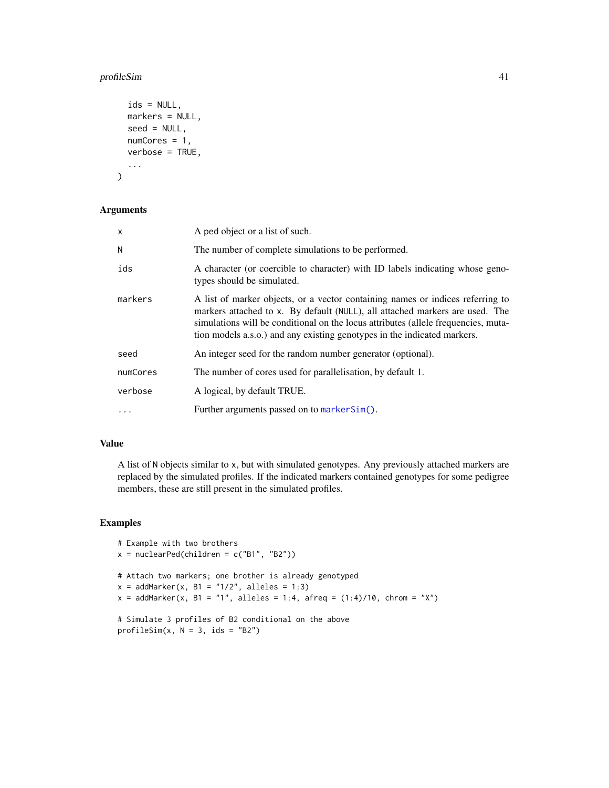# profileSim 41

```
ids = NULL,
 markers = NULL,
 seed = NULL,
 numCores = 1,
  verbose = TRUE,
  ...
\mathcal{L}
```
#### Arguments

| x         | A ped object or a list of such.                                                                                                                                                                                                                                                                                                  |
|-----------|----------------------------------------------------------------------------------------------------------------------------------------------------------------------------------------------------------------------------------------------------------------------------------------------------------------------------------|
| N         | The number of complete simulations to be performed.                                                                                                                                                                                                                                                                              |
| ids       | A character (or coercible to character) with ID labels indicating whose geno-<br>types should be simulated.                                                                                                                                                                                                                      |
| markers   | A list of marker objects, or a vector containing names or indices referring to<br>markers attached to x. By default (NULL), all attached markers are used. The<br>simulations will be conditional on the locus attributes (allele frequencies, muta-<br>tion models a.s.o.) and any existing genotypes in the indicated markers. |
| seed      | An integer seed for the random number generator (optional).                                                                                                                                                                                                                                                                      |
| numCores  | The number of cores used for parallelisation, by default 1.                                                                                                                                                                                                                                                                      |
| verbose   | A logical, by default TRUE.                                                                                                                                                                                                                                                                                                      |
| $\ddotsc$ | Further arguments passed on to marker Sim().                                                                                                                                                                                                                                                                                     |

# Value

A list of N objects similar to x, but with simulated genotypes. Any previously attached markers are replaced by the simulated profiles. If the indicated markers contained genotypes for some pedigree members, these are still present in the simulated profiles.

```
# Example with two brothers
x = nuclearPed(children = c("B1", "B2"))
# Attach two markers; one brother is already genotyped
x = addMarket(x, B1 = "1/2", alleles = 1:3)x = addMarket(x, B1 = "1", alleles = 1:4, afreq = (1:4)/10, chrom = "X")# Simulate 3 profiles of B2 conditional on the above
profileSim(x, N = 3, ids = "B2")
```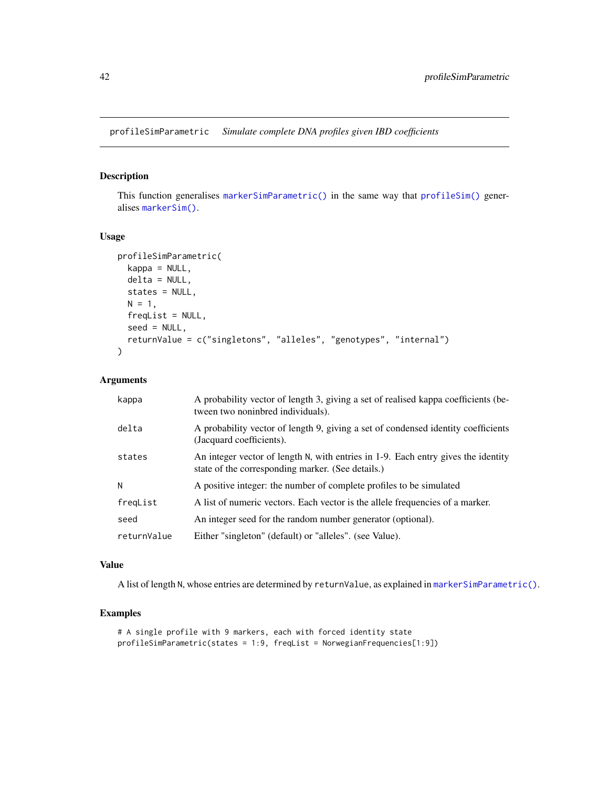<span id="page-41-0"></span>profileSimParametric *Simulate complete DNA profiles given IBD coefficients*

# Description

This function generalises [markerSimParametric\(\)](#page-24-1) in the same way that [profileSim\(\)](#page-39-1) generalises [markerSim\(\)](#page-22-1).

#### Usage

```
profileSimParametric(
  kappa = NULL,delta = NULL,
 states = NULL,
 N = 1,
  freqList = NULL,seed = NULL,
  returnValue = c("singletons", "alleles", "genotypes", "internal")
\lambda
```
#### Arguments

| kappa       | A probability vector of length 3, giving a set of realised kappa coefficients (be-<br>tween two noninbred individuals).                |
|-------------|----------------------------------------------------------------------------------------------------------------------------------------|
| delta       | A probability vector of length 9, giving a set of condensed identity coefficients<br>(Jacquard coefficients).                          |
| states      | An integer vector of length N, with entries in 1-9. Each entry gives the identity<br>state of the corresponding marker. (See details.) |
| N           | A positive integer: the number of complete profiles to be simulated                                                                    |
| freqList    | A list of numeric vectors. Each vector is the allele frequencies of a marker.                                                          |
| seed        | An integer seed for the random number generator (optional).                                                                            |
| returnValue | Either "singleton" (default) or "alleles". (see Value).                                                                                |

# Value

A list of length N, whose entries are determined by returnValue, as explained in [markerSimParametric\(\)](#page-24-1).

```
# A single profile with 9 markers, each with forced identity state
profileSimParametric(states = 1:9, freqList = NorwegianFrequencies[1:9])
```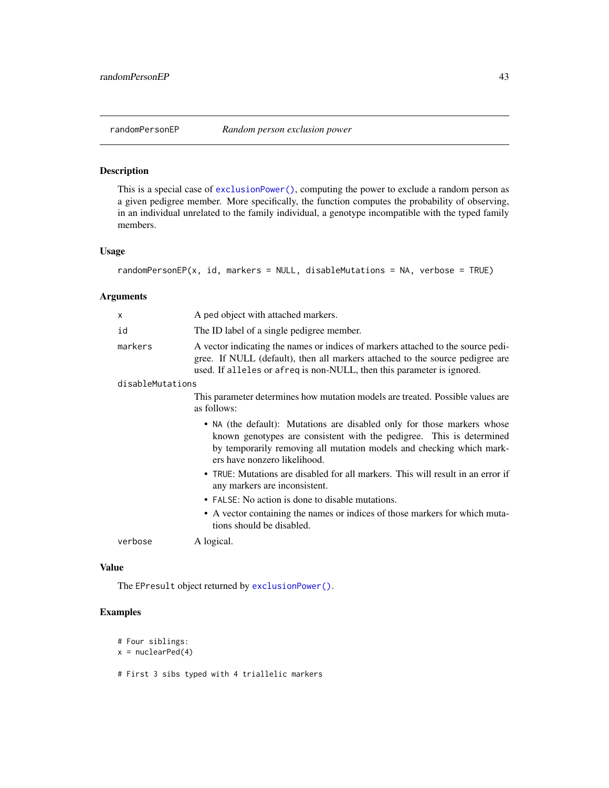<span id="page-42-1"></span><span id="page-42-0"></span>

# Description

This is a special case of [exclusionPower\(\)](#page-3-1), computing the power to exclude a random person as a given pedigree member. More specifically, the function computes the probability of observing, in an individual unrelated to the family individual, a genotype incompatible with the typed family members.

# Usage

```
randomPersonEP(x, id, markers = NULL, disableMutations = NA, verbose = TRUE)
```
# Arguments

| X                | A ped object with attached markers.                                                                                                                                                                                                                     |  |
|------------------|---------------------------------------------------------------------------------------------------------------------------------------------------------------------------------------------------------------------------------------------------------|--|
| id               | The ID label of a single pedigree member.                                                                                                                                                                                                               |  |
| markers          | A vector indicating the names or indices of markers attached to the source pedi-<br>gree. If NULL (default), then all markers attached to the source pedigree are<br>used. If alleles or afreq is non-NULL, then this parameter is ignored.             |  |
| disableMutations |                                                                                                                                                                                                                                                         |  |
|                  | This parameter determines how mutation models are treated. Possible values are<br>as follows:                                                                                                                                                           |  |
|                  | • NA (the default): Mutations are disabled only for those markers whose<br>known genotypes are consistent with the pedigree. This is determined<br>by temporarily removing all mutation models and checking which mark-<br>ers have nonzero likelihood. |  |
|                  | • TRUE: Mutations are disabled for all markers. This will result in an error if<br>any markers are inconsistent.                                                                                                                                        |  |
|                  | • FALSE: No action is done to disable mutations.                                                                                                                                                                                                        |  |
|                  | • A vector containing the names or indices of those markers for which muta-<br>tions should be disabled.                                                                                                                                                |  |
| verbose          | A logical.                                                                                                                                                                                                                                              |  |

#### Value

The EPresult object returned by [exclusionPower\(\)](#page-3-1).

# Examples

```
# Four siblings:
```

```
x = nuclearPed(4)
```
# First 3 sibs typed with 4 triallelic markers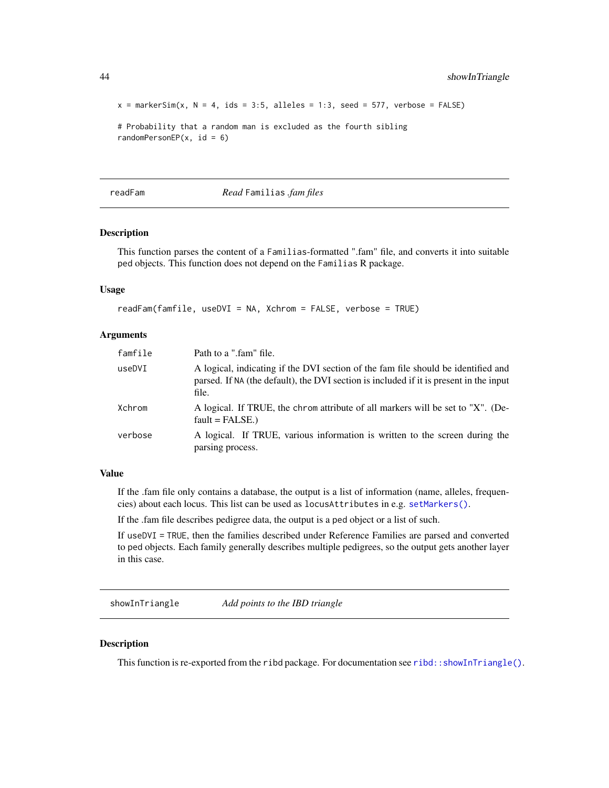```
x = markerSim(x, N = 4, ids = 3:5, alleles = 1:3, seed = 577, verbose = FALSE)
```

```
# Probability that a random man is excluded as the fourth sibling
randomPersonEP(x, id = 6)
```
<span id="page-43-1"></span>readFam *Read* Familias *.fam files*

#### Description

This function parses the content of a Familias-formatted ".fam" file, and converts it into suitable ped objects. This function does not depend on the Familias R package.

# Usage

```
readFam(famfile, useDVI = NA, Xchrom = FALSE, verbose = TRUE)
```
#### Arguments

| famfile | Path to a ".fam" file.                                                                                                                                                               |
|---------|--------------------------------------------------------------------------------------------------------------------------------------------------------------------------------------|
| useDVI  | A logical, indicating if the DVI section of the fam file should be identified and<br>parsed. If NA (the default), the DVI section is included if it is present in the input<br>file. |
| Xchrom  | A logical. If TRUE, the chrom attribute of all markers will be set to "X". (De-<br>$fault = FALSE.)$                                                                                 |
| verbose | A logical. If TRUE, various information is written to the screen during the<br>parsing process.                                                                                      |

# Value

If the .fam file only contains a database, the output is a list of information (name, alleles, frequencies) about each locus. This list can be used as locusAttributes in e.g. [setMarkers\(\)](#page-0-0).

If the .fam file describes pedigree data, the output is a ped object or a list of such.

If useDVI = TRUE, then the families described under Reference Families are parsed and converted to ped objects. Each family generally describes multiple pedigrees, so the output gets another layer in this case.

showInTriangle *Add points to the IBD triangle*

# Description

This function is re-exported from the ribd package. For documentation see [ribd::showInTriangle\(\)](#page-0-0).

<span id="page-43-0"></span>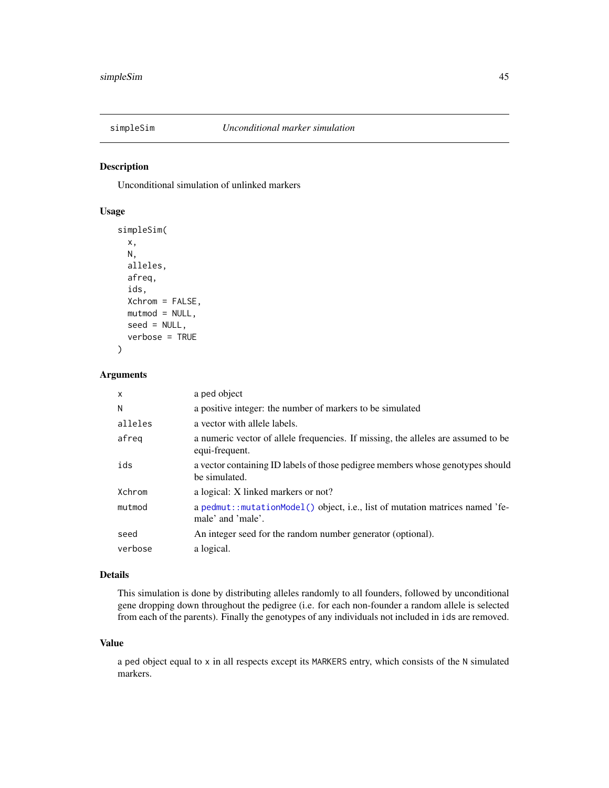<span id="page-44-1"></span><span id="page-44-0"></span>

# Description

Unconditional simulation of unlinked markers

#### Usage

```
simpleSim(
  x,
 N,
  alleles,
 afreq,
  ids,
 Xchrom = FALSE,
 mutmod = NULL,
  seed = NULL,
  verbose = TRUE
)
```
# Arguments

| $\mathsf{x}$ | a ped object                                                                                        |
|--------------|-----------------------------------------------------------------------------------------------------|
| N            | a positive integer: the number of markers to be simulated                                           |
| alleles      | a vector with allele labels.                                                                        |
| afreg        | a numeric vector of allele frequencies. If missing, the alleles are assumed to be<br>equi-frequent. |
| ids          | a vector containing ID labels of those pedigree members whose genotypes should<br>be simulated.     |
| Xchrom       | a logical: X linked markers or not?                                                                 |
| mutmod       | a pedmut::mutationModel() object, i.e., list of mutation matrices named 'fe-<br>male' and 'male'.   |
| seed         | An integer seed for the random number generator (optional).                                         |
| verbose      | a logical.                                                                                          |

# Details

This simulation is done by distributing alleles randomly to all founders, followed by unconditional gene dropping down throughout the pedigree (i.e. for each non-founder a random allele is selected from each of the parents). Finally the genotypes of any individuals not included in ids are removed.

#### Value

a ped object equal to x in all respects except its MARKERS entry, which consists of the N simulated markers.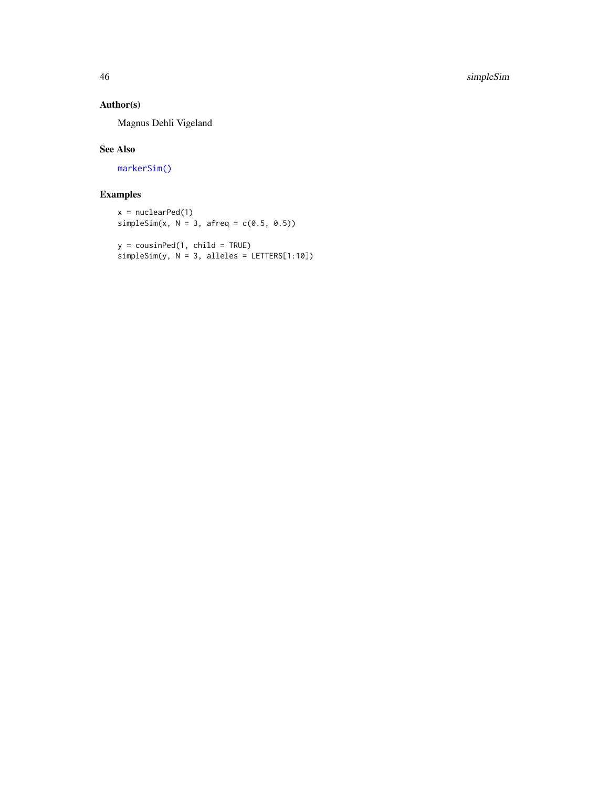# <span id="page-45-0"></span>Author(s)

Magnus Dehli Vigeland

# See Also

[markerSim\(\)](#page-22-1)

```
x = nuclearPed(1)simpleSim(x, N = 3, afreq = c(0.5, 0.5))
```

```
y = \text{cousinPed}(1, \text{ child} = \text{TRUE})simpleSim(y, N = 3, alleles = LETTERS[1:10])
```